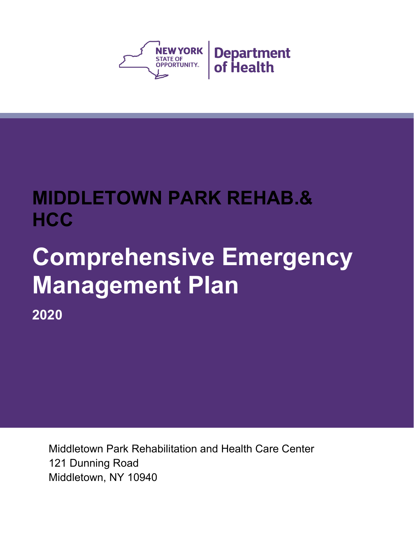

## **MIDDLETOWN PARK REHAB.& HCC**

# **Comprehensive Emergency Management Plan**

**2020**

Middletown Park Rehabilitation and Health Care Center 121 Dunning Road Middletown, NY 10940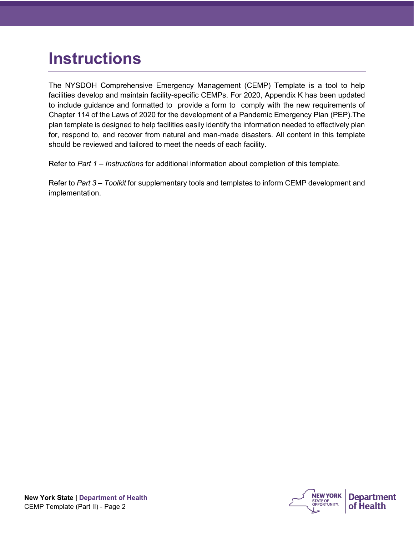## <span id="page-1-0"></span>**Instructions**

The NYSDOH Comprehensive Emergency Management (CEMP) Template is a tool to help facilities develop and maintain facility-specific CEMPs. For 2020, Appendix K has been updated to include guidance and formatted to provide a form to comply with the new requirements of Chapter 114 of the Laws of 2020 for the development of a Pandemic Emergency Plan (PEP).The plan template is designed to help facilities easily identify the information needed to effectively plan for, respond to, and recover from natural and man-made disasters. All content in this template should be reviewed and tailored to meet the needs of each facility.

Refer to *Part 1 – Instructions* for additional information about completion of this template.

Refer to *Part 3 – Toolkit* for supplementary tools and templates to inform CEMP development and implementation.

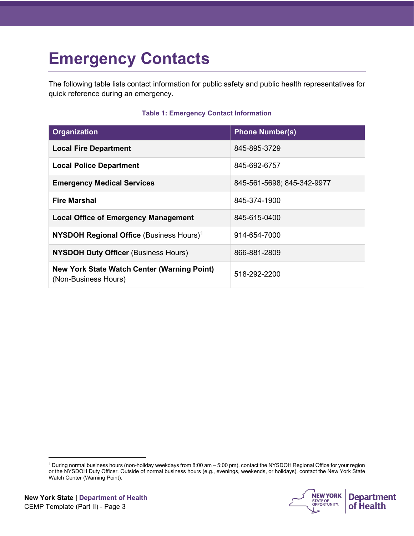## <span id="page-2-1"></span>**Emergency Contacts**

The following table lists contact information for public safety and public health representatives for quick reference during an emergency.

#### **Table 1: Emergency Contact Information**

| <b>Organization</b>                                                        | <b>Phone Number(s)</b>     |
|----------------------------------------------------------------------------|----------------------------|
| <b>Local Fire Department</b>                                               | 845-895-3729               |
| <b>Local Police Department</b>                                             | 845-692-6757               |
| <b>Emergency Medical Services</b>                                          | 845-561-5698; 845-342-9977 |
| <b>Fire Marshal</b>                                                        | 845-374-1900               |
| <b>Local Office of Emergency Management</b>                                | 845-615-0400               |
| <b>NYSDOH Regional Office (Business Hours)<sup>1</sup></b>                 | 914-654-7000               |
| <b>NYSDOH Duty Officer (Business Hours)</b>                                | 866-881-2809               |
| <b>New York State Watch Center (Warning Point)</b><br>(Non-Business Hours) | 518-292-2200               |



<span id="page-2-0"></span><sup>1</sup> During normal business hours (non-holiday weekdays from 8:00 am – 5:00 pm), contact the NYSDOH Regional Office for your region or the NYSDOH Duty Officer. Outside of normal business hours (e.g., evenings, weekends, or holidays), contact the New York State Watch Center (Warning Point).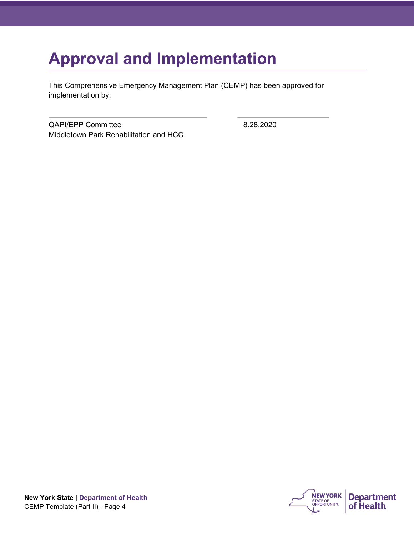## <span id="page-3-0"></span>**Approval and Implementation**

This Comprehensive Emergency Management Plan (CEMP) has been approved for implementation by:

QAPI/EPP Committee 8.28.2020 Middletown Park Rehabilitation and HCC



**New York State | Department of Health** CEMP Template (Part II) - Page 4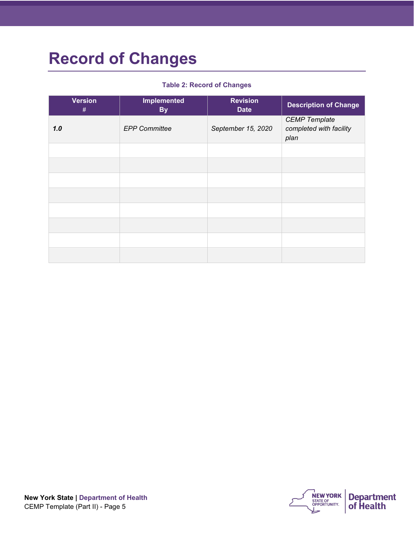## <span id="page-4-0"></span>**Record of Changes**

#### **Table 2: Record of Changes**

| <b>Version</b><br># | <b>Implemented</b><br><b>By</b> | <b>Revision</b><br><b>Date</b> | <b>Description of Change</b>                            |
|---------------------|---------------------------------|--------------------------------|---------------------------------------------------------|
| 1.0                 | <b>EPP Committee</b>            | September 15, 2020             | <b>CEMP Template</b><br>completed with facility<br>plan |
|                     |                                 |                                |                                                         |
|                     |                                 |                                |                                                         |
|                     |                                 |                                |                                                         |
|                     |                                 |                                |                                                         |
|                     |                                 |                                |                                                         |
|                     |                                 |                                |                                                         |
|                     |                                 |                                |                                                         |
|                     |                                 |                                |                                                         |

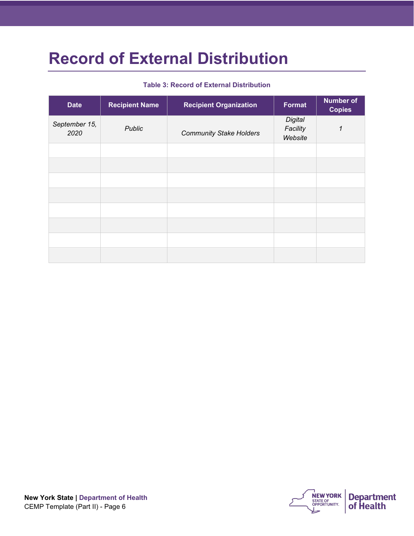## <span id="page-5-0"></span>**Record of External Distribution**

#### **Table 3: Record of External Distribution**

| <b>Date</b>           | <b>Recipient Name</b> | <b>Recipient Organization</b>  | <b>Format</b>                  | <b>Number of</b><br><b>Copies</b> |
|-----------------------|-----------------------|--------------------------------|--------------------------------|-----------------------------------|
| September 15,<br>2020 | <b>Public</b>         | <b>Community Stake Holders</b> | Digital<br>Facility<br>Website | 1                                 |
|                       |                       |                                |                                |                                   |
|                       |                       |                                |                                |                                   |
|                       |                       |                                |                                |                                   |
|                       |                       |                                |                                |                                   |
|                       |                       |                                |                                |                                   |
|                       |                       |                                |                                |                                   |
|                       |                       |                                |                                |                                   |
|                       |                       |                                |                                |                                   |

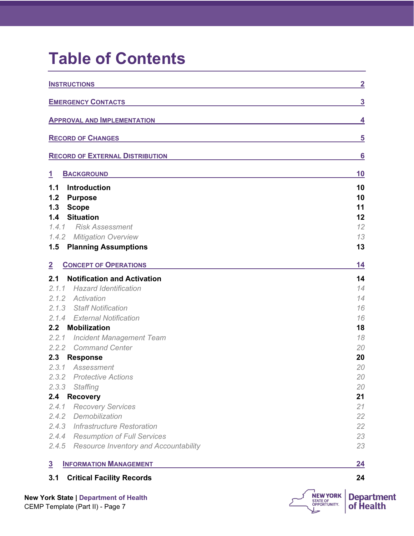## **Table of Contents**

|                | <b>INSTRUCTIONS</b>                          | 2                                                                         |
|----------------|----------------------------------------------|---------------------------------------------------------------------------|
|                | <b>EMERGENCY CONTACTS</b>                    | 3                                                                         |
|                | <b>APPROVAL AND IMPLEMENTATION</b>           | 4                                                                         |
|                | <b>RECORD OF CHANGES</b>                     | 5                                                                         |
|                | <b>RECORD OF EXTERNAL DISTRIBUTION</b>       | 6                                                                         |
| 1              | <b>BACKGROUND</b>                            | 10                                                                        |
| 1.1            | <b>Introduction</b>                          | 10                                                                        |
| 1.2            | <b>Purpose</b>                               | 10                                                                        |
| 1.3            | <b>Scope</b>                                 | 11                                                                        |
| 1.4            | <b>Situation</b>                             | 12                                                                        |
|                | 1.4.1 Risk Assessment                        | 12                                                                        |
|                | 1.4.2 Mitigation Overview                    | 13                                                                        |
| 1.5            | <b>Planning Assumptions</b>                  | 13                                                                        |
| $\overline{2}$ | <b>CONCEPT OF OPERATIONS</b>                 | 14                                                                        |
| 2.1            | <b>Notification and Activation</b>           | 14                                                                        |
|                | 2.1.1 Hazard Identification                  | 14                                                                        |
|                | 2.1.2 Activation                             | 14                                                                        |
|                | 2.1.3 Staff Notification                     | 16                                                                        |
|                | 2.1.4 External Notification                  | 16                                                                        |
| 2.2            | <b>Mobilization</b>                          | 18                                                                        |
|                | 2.2.1 Incident Management Team               | 18                                                                        |
|                | 2.2.2 Command Center                         | 20                                                                        |
| 2.3            | <b>Response</b>                              | 20                                                                        |
|                | 2.3.1 Assessment                             | 20                                                                        |
|                | 2.3.2 Protective Actions                     | 20                                                                        |
| 2.3.3          | <b>Staffing</b>                              | 20                                                                        |
| 2.4            | <b>Recovery</b>                              | 21                                                                        |
|                | 2.4.1 Recovery Services                      | 21                                                                        |
| 2.4.2          | Demobilization                               | 22                                                                        |
|                | 2.4.3 Infrastructure Restoration             | 22                                                                        |
|                | 2.4.4 Resumption of Full Services            | 23                                                                        |
| 2.4.5          | <b>Resource Inventory and Accountability</b> | 23                                                                        |
| $\overline{3}$ | <b>INFORMATION MANAGEMENT</b>                | 24                                                                        |
| 3.1            | <b>Critical Facility Records</b>             | 24                                                                        |
|                | ork State   Department of Health             | <b>NEW YORK</b><br><b>Depar</b><br><b>STATE OF</b><br><b>OPPORTUNITY.</b> |
|                | Template (Part II) - Page 7                  | of He                                                                     |

**New York** CEMP Template (Part II) - Page 7

**rtment**  $\frac{\frac{STATE OF}{OPPORTUNITY.}}$  of Health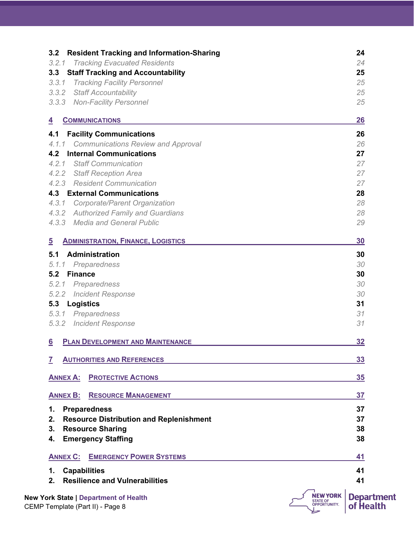| <b>Resident Tracking and Information-Sharing</b><br>3.2                          | 24                                                                                          |
|----------------------------------------------------------------------------------|---------------------------------------------------------------------------------------------|
| 3.2.1<br><b>Tracking Evacuated Residents</b>                                     | 24                                                                                          |
| 3.3<br><b>Staff Tracking and Accountability</b>                                  | 25                                                                                          |
| <b>Tracking Facility Personnel</b><br>3.3.1                                      | 25                                                                                          |
| 3.3.2 Staff Accountability                                                       | 25                                                                                          |
| 3.3.3 Non-Facility Personnel                                                     | 25                                                                                          |
| $\overline{4}$<br><b>COMMUNICATIONS</b>                                          | 26                                                                                          |
| <b>Facility Communications</b><br>4.1                                            | 26                                                                                          |
| <b>Communications Review and Approval</b><br>4.1.1                               | 26                                                                                          |
| <b>Internal Communications</b><br>4.2                                            | 27                                                                                          |
| 4.2.1<br><b>Staff Communication</b>                                              | 27                                                                                          |
| 4.2.2 Staff Reception Area                                                       | 27                                                                                          |
| 4.2.3 Resident Communication                                                     | 27                                                                                          |
| <b>External Communications</b><br>4.3                                            | 28                                                                                          |
| 4.3.1 Corporate/Parent Organization                                              | 28                                                                                          |
| 4.3.2 Authorized Family and Guardians                                            | 28                                                                                          |
| 4.3.3 Media and General Public                                                   | 29                                                                                          |
| $\overline{5}$<br><b>ADMINISTRATION, FINANCE, LOGISTICS</b>                      | <b>30</b>                                                                                   |
| 5.1<br>Administration                                                            | 30                                                                                          |
| 5.1.1 Preparedness                                                               | 30                                                                                          |
| 5.2<br><b>Finance</b>                                                            | 30                                                                                          |
| 5.2.1 Preparedness                                                               | 30                                                                                          |
| 5.2.2<br><b>Incident Response</b>                                                | 30                                                                                          |
| 5.3 Logistics                                                                    | 31                                                                                          |
| 5.3.1 Preparedness                                                               | 31                                                                                          |
| 5.3.2<br><b>Incident Response</b>                                                | 31                                                                                          |
| $\underline{6}$<br><b>PLAN DEVELOPMENT AND MAINTENANCE</b>                       | <u>32</u>                                                                                   |
| <b>AUTHORITIES AND REFERENCES</b><br>7                                           | 33                                                                                          |
| <b>PROTECTIVE ACTIONS</b>                                                        | 35                                                                                          |
| <u>ANNEX A:</u>                                                                  |                                                                                             |
| <b>RESOURCE MANAGEMENT</b><br><b>ANNEX B:</b>                                    | 37                                                                                          |
| <b>Preparedness</b><br>1.                                                        | 37                                                                                          |
| <b>Resource Distribution and Replenishment</b><br>2.                             | 37                                                                                          |
| <b>Resource Sharing</b><br>3.                                                    | 38                                                                                          |
| <b>Emergency Staffing</b><br>4.                                                  | 38                                                                                          |
| <b>ANNEX C: EMERGENCY POWER SYSTEMS</b>                                          | 41                                                                                          |
| <b>Capabilities</b><br>1.                                                        | 41                                                                                          |
| <b>Resilience and Vulnerabilities</b><br>2.                                      | 41                                                                                          |
| <b>New York State   Department of Health</b><br>CEMP Template (Part II) - Page 8 | <b>NEW YORK</b><br><b>Department</b><br><b>STATE OF</b><br><b>OPPORTUNITY.</b><br>of Health |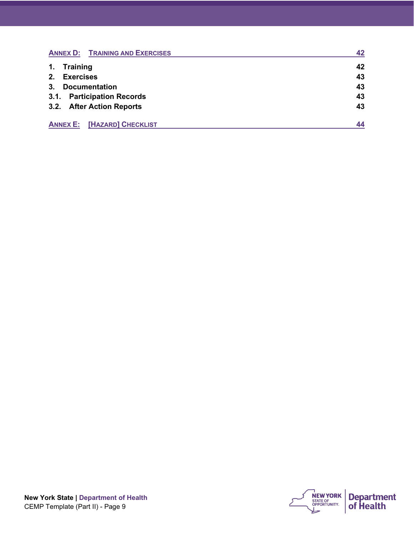| <b>ANNEX D: TRAINING AND EXERCISES</b> | 42 |
|----------------------------------------|----|
| 1.<br><b>Training</b>                  | 42 |
| 2. Exercises                           | 43 |
| 3.<br><b>Documentation</b>             | 43 |
| 3.1. Participation Records             | 43 |
| 3.2. After Action Reports              | 43 |
| <b>ANNEX E: [HAZARD] CHECKLIST</b>     | 44 |

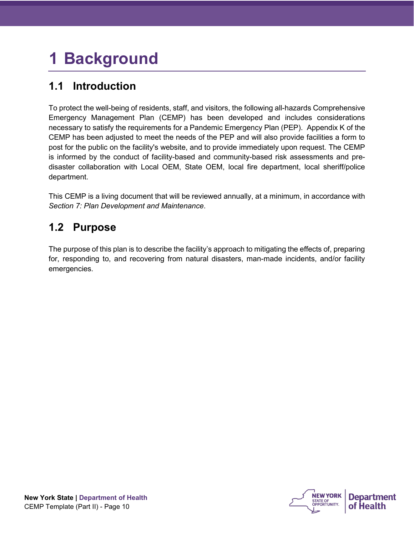## <span id="page-9-0"></span>**1 Background**

### <span id="page-9-1"></span>**1.1 Introduction**

To protect the well-being of residents, staff, and visitors, the following all-hazards Comprehensive Emergency Management Plan (CEMP) has been developed and includes considerations necessary to satisfy the requirements for a Pandemic Emergency Plan (PEP). Appendix K of the CEMP has been adjusted to meet the needs of the PEP and will also provide facilities a form to post for the public on the facility's website, and to provide immediately upon request. The CEMP is informed by the conduct of facility-based and community-based risk assessments and predisaster collaboration with Local OEM, State OEM, local fire department, local sheriff/police department.

This CEMP is a living document that will be reviewed annually, at a minimum, in accordance with *Section 7: Plan Development and Maintenance*.

### <span id="page-9-2"></span>**1.2 Purpose**

The purpose of this plan is to describe the facility's approach to mitigating the effects of, preparing for, responding to, and recovering from natural disasters, man-made incidents, and/or facility emergencies.

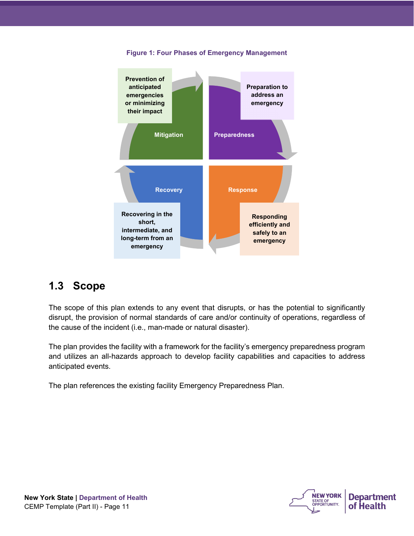

### <span id="page-10-0"></span>**1.3 Scope**

The scope of this plan extends to any event that disrupts, or has the potential to significantly disrupt, the provision of normal standards of care and/or continuity of operations, regardless of the cause of the incident (i.e., man-made or natural disaster).

The plan provides the facility with a framework for the facility's emergency preparedness program and utilizes an all-hazards approach to develop facility capabilities and capacities to address anticipated events.

The plan references the existing facility Emergency Preparedness Plan.



**New York State | Department of Health** CEMP Template (Part II) - Page 11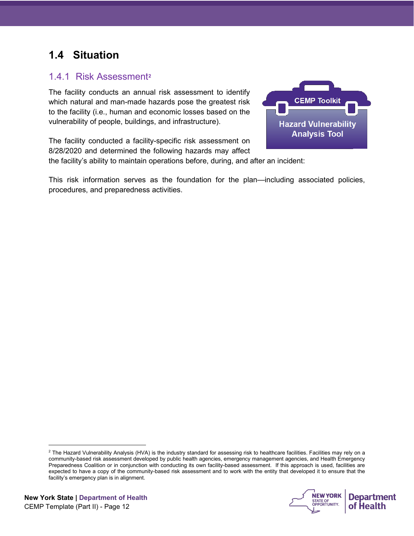### <span id="page-11-0"></span>**1.4 Situation**

#### <span id="page-11-1"></span>1.4.1 Risk Assessment**[2](#page-11-2)**

The facility conducts an annual risk assessment to identify which natural and man-made hazards pose the greatest risk to the facility (i.e., human and economic losses based on the vulnerability of people, buildings, and infrastructure).

The facility conducted a facility-specific risk assessment on 8/28/2020 and determined the following hazards may affect



the facility's ability to maintain operations before, during, and after an incident:

This risk information serves as the foundation for the plan—including associated policies, procedures, and preparedness activities.

<span id="page-11-2"></span><sup>&</sup>lt;sup>2</sup> The Hazard Vulnerability Analysis (HVA) is the industry standard for assessing risk to healthcare facilities. Facilities may rely on a community-based risk assessment developed by public health agencies, emergency management agencies, and Health Emergency Preparedness Coalition or in conjunction with conducting its own facility-based assessment. If this approach is used, facilities are expected to have a copy of the community-based risk assessment and to work with the entity that developed it to ensure that the facility's emergency plan is in alignment.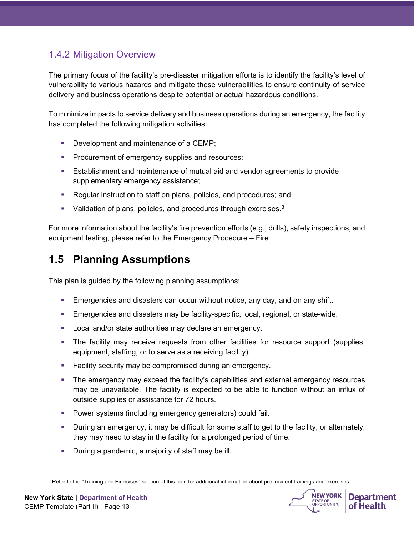### <span id="page-12-0"></span>1.4.2 Mitigation Overview

The primary focus of the facility's pre-disaster mitigation efforts is to identify the facility's level of vulnerability to various hazards and mitigate those vulnerabilities to ensure continuity of service delivery and business operations despite potential or actual hazardous conditions.

To minimize impacts to service delivery and business operations during an emergency, the facility has completed the following mitigation activities:

- Development and maintenance of a CEMP;
- **Procurement of emergency supplies and resources;**
- Establishment and maintenance of mutual aid and vendor agreements to provide supplementary emergency assistance;
- Regular instruction to staff on plans, policies, and procedures; and
- Validation of plans, policies, and procedures through exercises. $3$

For more information about the facility's fire prevention efforts (e.g., drills), safety inspections, and equipment testing, please refer to the Emergency Procedure – Fire

### <span id="page-12-1"></span>**1.5 Planning Assumptions**

This plan is guided by the following planning assumptions:

- Emergencies and disasters can occur without notice, any day, and on any shift.
- Emergencies and disasters may be facility-specific, local, regional, or state-wide.
- **Local and/or state authorities may declare an emergency.**
- The facility may receive requests from other facilities for resource support (supplies, equipment, staffing, or to serve as a receiving facility).
- **Facility security may be compromised during an emergency.**
- **The emergency may exceed the facility's capabilities and external emergency resources** may be unavailable. The facility is expected to be able to function without an influx of outside supplies or assistance for 72 hours.
- **Power systems (including emergency generators) could fail.**
- During an emergency, it may be difficult for some staff to get to the facility, or alternately, they may need to stay in the facility for a prolonged period of time.
- **During a pandemic, a majority of staff may be ill.**



<span id="page-12-2"></span><sup>&</sup>lt;sup>3</sup> Refer to the "Training and Exercises" section of this plan for additional information about pre-incident trainings and exercises.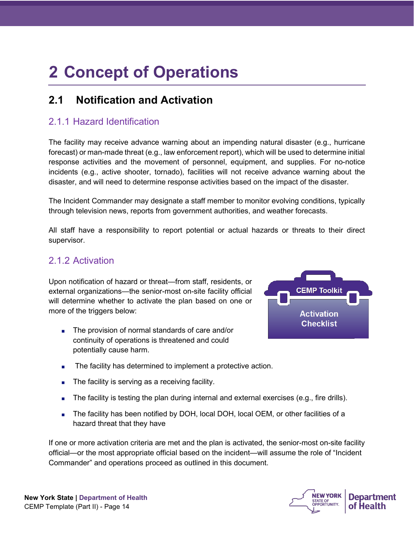## <span id="page-13-0"></span>**2 Concept of Operations**

### <span id="page-13-1"></span>**2.1 Notification and Activation**

#### <span id="page-13-2"></span>2.1.1 Hazard Identification

The facility may receive advance warning about an impending natural disaster (e.g., hurricane forecast) or man-made threat (e.g., law enforcement report), which will be used to determine initial response activities and the movement of personnel, equipment, and supplies. For no-notice incidents (e.g., active shooter, tornado), facilities will not receive advance warning about the disaster, and will need to determine response activities based on the impact of the disaster.

The Incident Commander may designate a staff member to monitor evolving conditions, typically through television news, reports from government authorities, and weather forecasts.

All staff have a responsibility to report potential or actual hazards or threats to their direct supervisor.

#### <span id="page-13-3"></span>2.1.2 Activation

Upon notification of hazard or threat—from staff, residents, or external organizations—the senior-most on-site facility official will determine whether to activate the plan based on one or more of the triggers below:

- **The provision of normal standards of care and/or** continuity of operations is threatened and could potentially cause harm.
- The facility has determined to implement a protective action.
- The facility is serving as a receiving facility.
- The facility is testing the plan during internal and external exercises (e.g., fire drills).
- The facility has been notified by DOH, local DOH, local OEM, or other facilities of a hazard threat that they have

If one or more activation criteria are met and the plan is activated, the senior-most on-site facility official—or the most appropriate official based on the incident—will assume the role of "Incident Commander" and operations proceed as outlined in this document.



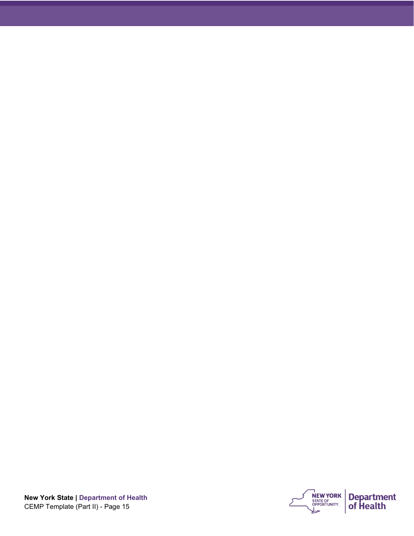

**New York State | Department of Health** CEMP Template (Part II) - Page 15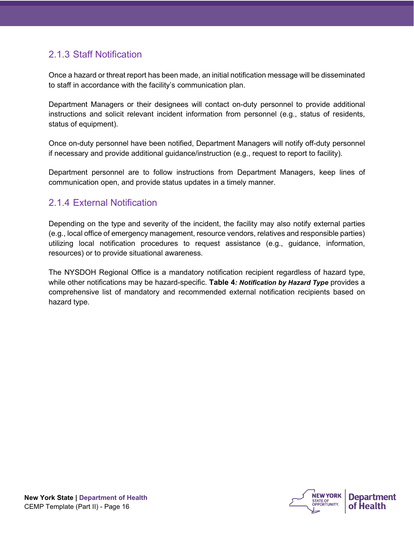#### <span id="page-15-0"></span>2.1.3 Staff Notification

Once a hazard or threat report has been made, an initial notification message will be disseminated to staff in accordance with the facility's communication plan.

Department Managers or their designees will contact on-duty personnel to provide additional instructions and solicit relevant incident information from personnel (e.g., status of residents, status of equipment).

Once on-duty personnel have been notified, Department Managers will notify off-duty personnel if necessary and provide additional guidance/instruction (e.g., request to report to facility).

Department personnel are to follow instructions from Department Managers, keep lines of communication open, and provide status updates in a timely manner.

#### <span id="page-15-1"></span>2.1.4 External Notification

Depending on the type and severity of the incident, the facility may also notify external parties (e.g., local office of emergency management, resource vendors, relatives and responsible parties) utilizing local notification procedures to request assistance (e.g., guidance, information, resources) or to provide situational awareness.

The NYSDOH Regional Office is a mandatory notification recipient regardless of hazard type, while other notifications may be hazard-specific. **[Table 4](#page-16-0)***[: Notification by Hazard Type](#page-16-0)* provides a comprehensive list of mandatory and recommended external notification recipients based on hazard type.

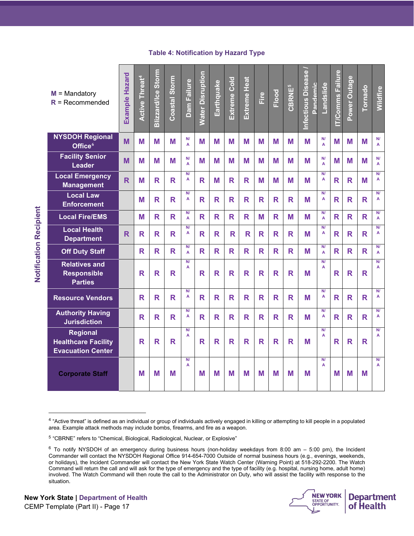#### **Table 4: Notification by Hazard Type**

<span id="page-16-0"></span>

| $M =$ Mandatory<br>$R = Recommended$                                      | Example Hazard          | <b>Active Threat<sup>4</sup></b> | Blizzard/Ice Storm | <b>Coastal Storm</b> | Dam Failure | <b>Water Disruption</b> | Earthquake   | Cold<br>Extreme | Extreme Heat | Fire         | Flood        | CBRNE <sup>5</sup> | Infectious Disease<br>Pandemic | Landslide              | <b>T/Comms Failure</b> | Power Outage | Tornado      | Wildfire |
|---------------------------------------------------------------------------|-------------------------|----------------------------------|--------------------|----------------------|-------------|-------------------------|--------------|-----------------|--------------|--------------|--------------|--------------------|--------------------------------|------------------------|------------------------|--------------|--------------|----------|
| <b>NYSDOH Regional</b><br>Office <sup>6</sup>                             | M                       | M                                | M                  | M                    | N/<br>A     | M                       | M            | M               | M            | M            | M            | M                  | M                              | N/<br>A                | M                      | M            | M            | N/<br>A  |
| <b>Facility Senior</b><br><b>Leader</b>                                   | M                       | M                                | M                  | M                    | N/<br>A     | M                       | M            | M               | M            | M            | M            | M                  | M                              | N/<br>A                | M                      | M            | M            | N/<br>A  |
| <b>Local Emergency</b><br><b>Management</b>                               | R                       | M                                | $\mathsf{R}$       | R                    | N/<br>А     | R                       | M            | R               | R            | M            | M            | M                  | M                              | N/<br>А                | R                      | R            | M            | N/<br>A  |
| <b>Local Law</b><br><b>Enforcement</b>                                    |                         | M                                | $\mathsf{R}$       | R.                   | N/<br>А     | R                       | $\mathsf{R}$ | $\mathsf{R}$    | R            | R            | $\mathsf{R}$ | R                  | M                              | N/<br>А                | R                      | R            | R            | N/<br>А  |
| <b>Local Fire/EMS</b>                                                     |                         | M                                | $\mathsf{R}$       | R.                   | N/<br>Δ     | R                       | R            | R               | $\mathsf{R}$ | M            | R            | M                  | M                              | N/<br>$\blacktriangle$ | R                      | R            | R            | N/<br>A  |
| <b>Local Health</b><br><b>Department</b>                                  | $\overline{\mathsf{R}}$ | R                                | $\mathsf{R}$       | R.                   | N/<br>А     | R                       | $\mathsf{R}$ | R               | $\mathsf{R}$ | $\mathsf{R}$ | $\mathsf{R}$ | R                  | M                              | N/<br>A                | R                      | R.           | R            | N/<br>A  |
| <b>Off Duty Staff</b>                                                     |                         | R                                | R                  | R.                   | N/<br>A     | R                       | R            | R               | R            | R            | R            | R                  | M                              | N/<br>A                | R                      | R.           | R            | N/<br>A  |
| <b>Relatives and</b><br><b>Responsible</b><br><b>Parties</b>              |                         | R                                | $\mathsf{R}$       | R                    | N/<br>A     | $\mathsf{R}$            | $\mathsf{R}$ | R               | $\mathsf{R}$ | R            | R            | R                  | M                              | N/<br>A                | R                      | $\mathsf{R}$ | R            | N/<br>A  |
| <b>Resource Vendors</b>                                                   |                         | R                                | R                  | R.                   | N/<br>A     | R                       | R            | R               | $\mathsf{R}$ | R            | R            | R                  | M                              | N/<br>A                | R                      | R            | R            | N/<br>A  |
| <b>Authority Having</b><br><b>Jurisdiction</b>                            |                         | R                                | $\mathsf{R}$       | R.                   | N/<br>А     | R                       | $\mathsf{R}$ | R               | R            | R            | R            | R                  | M                              | N/<br>A                | R                      | R            | R            | N/<br>A  |
| <b>Regional</b><br><b>Healthcare Facility</b><br><b>Evacuation Center</b> |                         | R                                | R                  | R                    | N/<br>A     | R                       | $\mathsf{R}$ | R               | $\mathsf{R}$ | R            | $\mathsf{R}$ | R                  | M                              | N/<br>A                | R                      | R            | $\mathsf{R}$ | N/<br>A  |
| <b>Corporate Staff</b>                                                    |                         | M                                | M                  | M                    | N/<br>A     | M                       | M            | м               | M            | M            | M            | M                  | M                              | N/<br>A                | M                      | M            | M            | N/<br>A  |

<span id="page-16-1"></span><sup>4</sup> "Active threat" is defined as an individual or group of individuals actively engaged in killing or attempting to kill people in a populated area. Example attack methods may include bombs, firearms, and fire as a weapon.

**New York State | Department of Health** CEMP Template (Part II) - Page 17



**Notification Recipient Notification Recipient**

<span id="page-16-2"></span><sup>5</sup> "CBRNE" refers to "Chemical, Biological, Radiological, Nuclear, or Explosive"

<span id="page-16-3"></span> $6$  To notify NYSDOH of an emergency during business hours (non-holiday weekdays from 8:00 am  $-$  5:00 pm), the Incident Commander will contact the NYSDOH Regional Office 914-654-7000 Outside of normal business hours (e.g., evenings, weekends, or holidays), the Incident Commander will contact the New York State Watch Center (Warning Point) at 518-292-2200. The Watch Command will return the call and will ask for the type of emergency and the type of facility (e.g. hospital, nursing home, adult home) involved. The Watch Command will then route the call to the Administrator on Duty, who will assist the facility with response to the situation.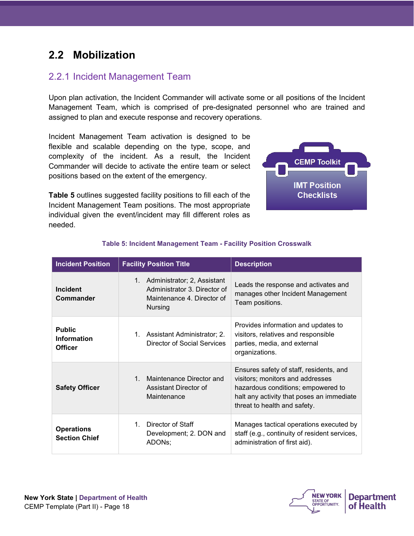### <span id="page-17-0"></span>**2.2 Mobilization**

#### <span id="page-17-1"></span>2.2.1 Incident Management Team

Upon plan activation, the Incident Commander will activate some or all positions of the Incident Management Team, which is comprised of pre-designated personnel who are trained and assigned to plan and execute response and recovery operations.

Incident Management Team activation is designed to be flexible and scalable depending on the type, scope, and complexity of the incident. As a result, the Incident Commander will decide to activate the entire team or select positions based on the extent of the emergency.

**[Table 5](#page-17-2)** outlines suggested facility positions to fill each of the Incident Management Team positions. The most appropriate individual given the event/incident may fill different roles as needed.



<span id="page-17-2"></span>

| <b>Incident Position</b>                              | <b>Facility Position Title</b>                                                                                      | <b>Description</b>                                                                                                                                                                             |
|-------------------------------------------------------|---------------------------------------------------------------------------------------------------------------------|------------------------------------------------------------------------------------------------------------------------------------------------------------------------------------------------|
| Incident<br><b>Commander</b>                          | Administrator; 2, Assistant<br>$1_{\cdot}$<br>Administrator 3. Director of<br>Maintenance 4. Director of<br>Nursing | Leads the response and activates and<br>manages other Incident Management<br>Team positions.                                                                                                   |
| <b>Public</b><br><b>Information</b><br><b>Officer</b> | Assistant Administrator; 2.<br>$1_{-}$<br>Director of Social Services                                               | Provides information and updates to<br>visitors, relatives and responsible<br>parties, media, and external<br>organizations.                                                                   |
| <b>Safety Officer</b>                                 | Maintenance Director and<br>1<br>Assistant Director of<br>Maintenance                                               | Ensures safety of staff, residents, and<br>visitors; monitors and addresses<br>hazardous conditions; empowered to<br>halt any activity that poses an immediate<br>threat to health and safety. |
| <b>Operations</b><br><b>Section Chief</b>             | Director of Staff<br>$1 \quad$<br>Development; 2. DON and<br>ADONs;                                                 | Manages tactical operations executed by<br>staff (e.g., continuity of resident services,<br>administration of first aid).                                                                      |

#### **Table 5: Incident Management Team - Facility Position Crosswalk**

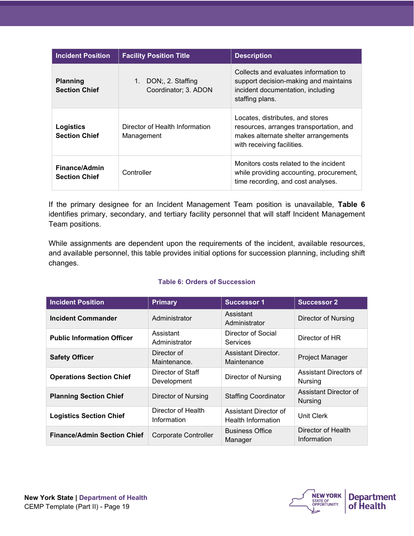| <b>Incident Position</b>                 | <b>Facility Position Title</b>                       | <b>Description</b>                                                                                                                                |
|------------------------------------------|------------------------------------------------------|---------------------------------------------------------------------------------------------------------------------------------------------------|
| <b>Planning</b><br><b>Section Chief</b>  | DON;, 2. Staffing<br>$1_{-}$<br>Coordinator; 3. ADON | Collects and evaluates information to<br>support decision-making and maintains<br>incident documentation, including<br>staffing plans.            |
| <b>Logistics</b><br><b>Section Chief</b> | Director of Health Information<br>Management         | Locates, distributes, and stores<br>resources, arranges transportation, and<br>makes alternate shelter arrangements<br>with receiving facilities. |
| Finance/Admin<br><b>Section Chief</b>    | Controller                                           | Monitors costs related to the incident<br>while providing accounting, procurement,<br>time recording, and cost analyses.                          |

If the primary designee for an Incident Management Team position is unavailable, **[Table 6](#page-18-0)** identifies primary, secondary, and tertiary facility personnel that will staff Incident Management Team positions.

While assignments are dependent upon the requirements of the incident, available resources, and available personnel, this table provides initial options for succession planning, including shift changes.

#### **Table 6: Orders of Succession**

<span id="page-18-0"></span>

| <b>Incident Position</b>           | <b>Primary</b>                    | <b>Successor 1</b>                          | <b>Successor 2</b>                      |
|------------------------------------|-----------------------------------|---------------------------------------------|-----------------------------------------|
| Incident Commander                 | Administrator                     | Assistant<br>Administrator                  | Director of Nursing                     |
| <b>Public Information Officer</b>  | Assistant<br>Administrator        | Director of HR                              |                                         |
| <b>Safety Officer</b>              | Director of<br>Maintenance.       | Assistant Director.<br>Maintenance          | Project Manager                         |
| <b>Operations Section Chief</b>    | Director of Staff<br>Development  | Director of Nursing                         | Assistant Directors of<br>Nursing       |
| <b>Planning Section Chief</b>      | Director of Nursing               | <b>Staffing Coordinator</b>                 | Assistant Director of<br><b>Nursing</b> |
| <b>Logistics Section Chief</b>     | Director of Health<br>Information | Assistant Director of<br>Health Information | Unit Clerk                              |
| <b>Finance/Admin Section Chief</b> | Corporate Controller              | <b>Business Office</b><br>Manager           | Director of Health<br>Information       |

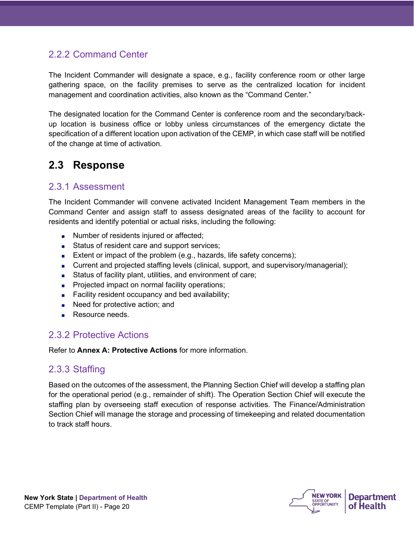#### <span id="page-19-0"></span>2.2.2 Command Center

The Incident Commander will designate a space, e.g., facility conference room or other large gathering space, on the facility premises to serve as the centralized location for incident management and coordination activities, also known as the "Command Center."

The designated location for the Command Center is conference room and the secondary/backup location is business office or lobby unless circumstances of the emergency dictate the specification of a different location upon activation of the CEMP, in which case staff will be notified of the change at time of activation.

### <span id="page-19-1"></span>**2.3 Response**

#### <span id="page-19-2"></span>2.3.1 Assessment

The Incident Commander will convene activated Incident Management Team members in the Command Center and assign staff to assess designated areas of the facility to account for residents and identify potential or actual risks, including the following:

- Number of residents injured or affected;
- Status of resident care and support services;
- **Extent or impact of the problem (e.g., hazards, life safety concerns);**
- Current and projected staffing levels (clinical, support, and supervisory/managerial);
- Status of facility plant, utilities, and environment of care;
- **Projected impact on normal facility operations;**
- **Facility resident occupancy and bed availability;**
- **Need for protective action; and**
- Resource needs.

#### <span id="page-19-3"></span>2.3.2 Protective Actions

Refer to **[Annex A:](#page-33-0) Protective Actions** for more information.

#### <span id="page-19-4"></span>2.3.3 Staffing

Based on the outcomes of the assessment, the Planning Section Chief will develop a staffing plan for the operational period (e.g., remainder of shift). The Operation Section Chief will execute the staffing plan by overseeing staff execution of response activities. The Finance/Administration Section Chief will manage the storage and processing of timekeeping and related documentation to track staff hours.

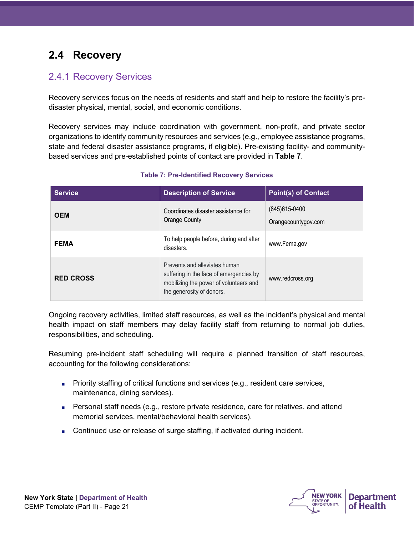### <span id="page-20-0"></span>**2.4 Recovery**

### <span id="page-20-1"></span>2.4.1 Recovery Services

Recovery services focus on the needs of residents and staff and help to restore the facility's predisaster physical, mental, social, and economic conditions.

Recovery services may include coordination with government, non-profit, and private sector organizations to identify community resources and services (e.g., employee assistance programs, state and federal disaster assistance programs, if eligible). Pre-existing facility- and communitybased services and pre-established points of contact are provided in **[Table 7](#page-20-2)**.

<span id="page-20-2"></span>

| <b>Service</b>   | <b>Description of Service</b>                                                                                                                   | <b>Point(s) of Contact</b>               |
|------------------|-------------------------------------------------------------------------------------------------------------------------------------------------|------------------------------------------|
| <b>OEM</b>       | Coordinates disaster assistance for<br><b>Orange County</b>                                                                                     | $(845)615 - 0400$<br>Orangecountygov.com |
| <b>FEMA</b>      | To help people before, during and after<br>disasters.                                                                                           | www.Fema.gov                             |
| <b>RED CROSS</b> | Prevents and alleviates human<br>suffering in the face of emergencies by<br>mobilizing the power of volunteers and<br>the generosity of donors. | www.redcross.org                         |

#### **Table 7: Pre-Identified Recovery Services**

Ongoing recovery activities, limited staff resources, as well as the incident's physical and mental health impact on staff members may delay facility staff from returning to normal job duties, responsibilities, and scheduling.

Resuming pre-incident staff scheduling will require a planned transition of staff resources, accounting for the following considerations:

- **Priority staffing of critical functions and services (e.g., resident care services,** maintenance, dining services).
- **Personal staff needs (e.g., restore private residence, care for relatives, and attend** memorial services, mental/behavioral health services).
- Continued use or release of surge staffing, if activated during incident.

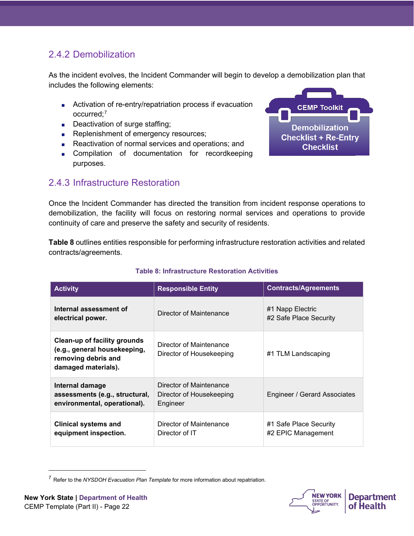### <span id="page-21-0"></span>2.4.2 Demobilization

As the incident evolves, the Incident Commander will begin to develop a demobilization plan that includes the following elements:

- **Activation of re-entry/repatriation process if evacuation** occurred; [7](#page-21-3)
- Deactivation of surge staffing;
- Replenishment of emergency resources;
- Reactivation of normal services and operations; and
- **Compilation of documentation for recordkeeping** purposes.

#### <span id="page-21-1"></span>2.4.3 Infrastructure Restoration



Once the Incident Commander has directed the transition from incident response operations to demobilization, the facility will focus on restoring normal services and operations to provide continuity of care and preserve the safety and security of residents.

**[Table 8](#page-21-2)** outlines entities responsible for performing infrastructure restoration activities and related contracts/agreements.

<span id="page-21-2"></span>

| <b>Activity</b>                                                                                            | <b>Responsible Entity</b>                                       | <b>Contracts/Agreements</b>                  |
|------------------------------------------------------------------------------------------------------------|-----------------------------------------------------------------|----------------------------------------------|
| Internal assessment of<br>electrical power.                                                                | Director of Maintenance                                         | #1 Napp Electric<br>#2 Safe Place Security   |
| Clean-up of facility grounds<br>(e.g., general housekeeping,<br>removing debris and<br>damaged materials). | Director of Maintenance<br>Director of Housekeeping             | #1 TLM Landscaping                           |
| Internal damage<br>assessments (e.g., structural,<br>environmental, operational).                          | Director of Maintenance<br>Director of Housekeeping<br>Engineer | Engineer / Gerard Associates                 |
| <b>Clinical systems and</b><br>equipment inspection.                                                       | Director of Maintenance<br>Director of IT                       | #1 Safe Place Security<br>#2 EPIC Management |

#### **Table 8: Infrastructure Restoration Activities**



<span id="page-21-3"></span><sup>7</sup> Refer to the *NYSDOH Evacuation Plan Template* for more information about repatriation.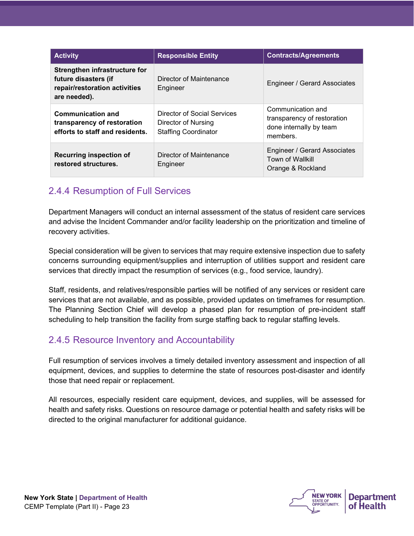| <b>Activity</b>                                                                                        | <b>Responsible Entity</b>                                                         | <b>Contracts/Agreements</b>                                                             |
|--------------------------------------------------------------------------------------------------------|-----------------------------------------------------------------------------------|-----------------------------------------------------------------------------------------|
| Strengthen infrastructure for<br>future disasters (if<br>repair/restoration activities<br>are needed). | Director of Maintenance<br>Engineer                                               | Engineer / Gerard Associates                                                            |
| <b>Communication and</b><br>transparency of restoration<br>efforts to staff and residents.             | Director of Social Services<br>Director of Nursing<br><b>Staffing Coordinator</b> | Communication and<br>transparency of restoration<br>done internally by team<br>members. |
| <b>Recurring inspection of</b><br>restored structures.                                                 | Director of Maintenance<br>Engineer                                               | <b>Engineer / Gerard Associates</b><br><b>Town of Wallkill</b><br>Orange & Rockland     |

#### <span id="page-22-0"></span>2.4.4 Resumption of Full Services

Department Managers will conduct an internal assessment of the status of resident care services and advise the Incident Commander and/or facility leadership on the prioritization and timeline of recovery activities.

Special consideration will be given to services that may require extensive inspection due to safety concerns surrounding equipment/supplies and interruption of utilities support and resident care services that directly impact the resumption of services (e.g., food service, laundry).

Staff, residents, and relatives/responsible parties will be notified of any services or resident care services that are not available, and as possible, provided updates on timeframes for resumption. The Planning Section Chief will develop a phased plan for resumption of pre-incident staff scheduling to help transition the facility from surge staffing back to regular staffing levels.

#### <span id="page-22-1"></span>2.4.5 Resource Inventory and Accountability

Full resumption of services involves a timely detailed inventory assessment and inspection of all equipment, devices, and supplies to determine the state of resources post-disaster and identify those that need repair or replacement.

All resources, especially resident care equipment, devices, and supplies, will be assessed for health and safety risks. Questions on resource damage or potential health and safety risks will be directed to the original manufacturer for additional guidance.

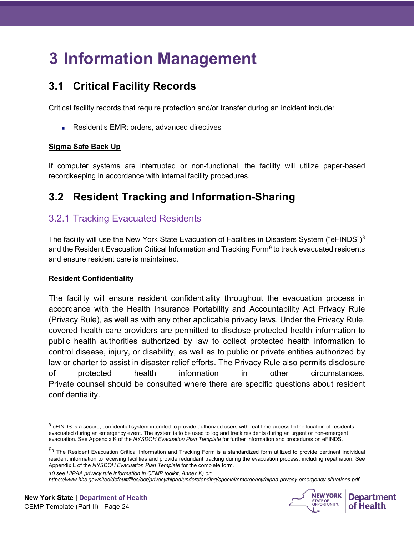## <span id="page-23-0"></span>**3 Information Management**

### <span id="page-23-1"></span>**3.1 Critical Facility Records**

Critical facility records that require protection and/or transfer during an incident include:

Resident's EMR: orders, advanced directives

#### **Sigma Safe Back Up**

If computer systems are interrupted or non-functional, the facility will utilize paper-based recordkeeping in accordance with internal facility procedures.

### <span id="page-23-2"></span>**3.2 Resident Tracking and Information-Sharing**

#### <span id="page-23-3"></span>3.2.1 Tracking Evacuated Residents

The facility will use the New York State Evacuation of Facilities in Disasters System ("eFINDS")<sup>[8](#page-23-4)</sup> and the Resident Evacuation Critical Information and Tracking Form<sup>[9](#page-23-5)</sup> to track evacuated residents and ensure resident care is maintained.

#### **Resident Confidentiality**

The facility will ensure resident confidentiality throughout the evacuation process in accordance with the Health Insurance Portability and Accountability Act Privacy Rule (Privacy Rule), as well as with any other applicable privacy laws. Under the Privacy Rule, covered health care providers are permitted to disclose protected health information to public health authorities authorized by law to collect protected health information to control disease, injury, or disability, as well as to public or private entities authorized by law or charter to assist in disaster relief efforts. The Privacy Rule also permits disclosure of protected health information in other circumstances. Private counsel should be consulted where there are specific questions about resident confidentiality.



<span id="page-23-4"></span> $8$  eFINDS is a secure, confidential system intended to provide authorized users with real-time access to the location of residents evacuated during an emergency event. The system is to be used to log and track residents during an urgent or non-emergent evacuation. See Appendix K of the *NYSDOH Evacuation Plan Template* for further information and procedures on eFINDS.

<span id="page-23-5"></span> $99$  The Resident Evacuation Critical Information and Tracking Form is a standardized form utilized to provide pertinent individual resident information to receiving facilities and provide redundant tracking during the evacuation process, including repatriation. See Appendix L of the *NYSDOH Evacuation Plan Template* for the complete form*.*

*<sup>10</sup> see HIPAA privacy rule information in CEMP toolkit, Annex K) or:* 

*https://www.hhs.gov/sites/default/files/ocr/privacy/hipaa/understanding/special/emergency/hipaa-privacy-emergency-situations.pdf*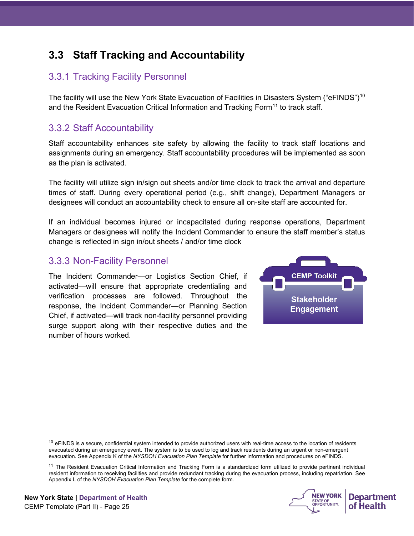### <span id="page-24-0"></span>**3.3 Staff Tracking and Accountability**

### <span id="page-24-1"></span>3.3.1 Tracking Facility Personnel

The facility will use the New York State Evacuation of Facilities in Disasters System ("eFINDS")<sup>[10](#page-24-4)</sup> and the Resident Evacuation Critical Information and Tracking Form $11$  to track staff.

#### <span id="page-24-2"></span>3.3.2 Staff Accountability

Staff accountability enhances site safety by allowing the facility to track staff locations and assignments during an emergency. Staff accountability procedures will be implemented as soon as the plan is activated.

The facility will utilize sign in/sign out sheets and/or time clock to track the arrival and departure times of staff. During every operational period (e.g., shift change), Department Managers or designees will conduct an accountability check to ensure all on-site staff are accounted for.

If an individual becomes injured or incapacitated during response operations, Department Managers or designees will notify the Incident Commander to ensure the staff member's status change is reflected in sign in/out sheets / and/or time clock

#### <span id="page-24-3"></span>3.3.3 Non-Facility Personnel

The Incident Commander—or Logistics Section Chief, if activated—will ensure that appropriate credentialing and verification processes are followed. Throughout the response, the Incident Commander—or Planning Section Chief, if activated—will track non-facility personnel providing surge support along with their respective duties and the number of hours worked.





<span id="page-24-4"></span> $10$  eFINDS is a secure, confidential system intended to provide authorized users with real-time access to the location of residents evacuated during an emergency event. The system is to be used to log and track residents during an urgent or non-emergent evacuation. See Appendix K of the *NYSDOH Evacuation Plan Template* for further information and procedures on eFINDS.

<span id="page-24-5"></span><sup>&</sup>lt;sup>11</sup> The Resident Evacuation Critical Information and Tracking Form is a standardized form utilized to provide pertinent individual resident information to receiving facilities and provide redundant tracking during the evacuation process, including repatriation. See Appendix L of the *NYSDOH Evacuation Plan Template* for the complete form*.*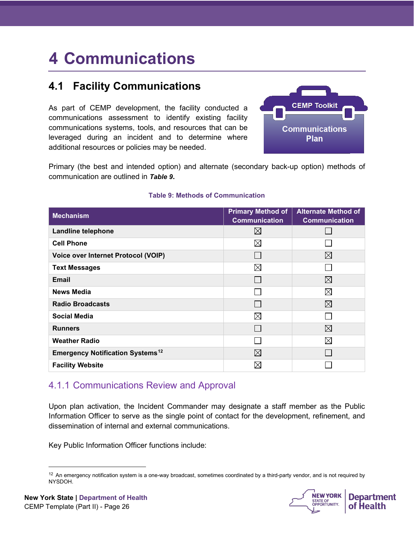## <span id="page-25-0"></span>**4 Communications**

### <span id="page-25-1"></span>**4.1 Facility Communications**

As part of CEMP development, the facility conducted a communications assessment to identify existing facility communications systems, tools, and resources that can be leveraged during an incident and to determine where additional resources or policies may be needed.



Primary (the best and intended option) and alternate (secondary back-up option) methods of communication are outlined in *[Table 9](#page-25-3)***.**

<span id="page-25-3"></span>

| <b>Mechanism</b>                                   | <b>Primary Method of</b><br><b>Communication</b> | <b>Alternate Method of</b><br><b>Communication</b> |
|----------------------------------------------------|--------------------------------------------------|----------------------------------------------------|
| <b>Landline telephone</b>                          | $\bowtie$                                        |                                                    |
| <b>Cell Phone</b>                                  | ⊠                                                |                                                    |
| Voice over Internet Protocol (VOIP)                |                                                  | $\boxtimes$                                        |
| <b>Text Messages</b>                               | ⊠                                                |                                                    |
| <b>Email</b>                                       |                                                  | $\boxtimes$                                        |
| <b>News Media</b>                                  |                                                  | $\boxtimes$                                        |
| <b>Radio Broadcasts</b>                            |                                                  | $\boxtimes$                                        |
| <b>Social Media</b>                                | ⊠                                                |                                                    |
| <b>Runners</b>                                     |                                                  | $\boxtimes$                                        |
| <b>Weather Radio</b>                               |                                                  | $\boxtimes$                                        |
| <b>Emergency Notification Systems<sup>12</sup></b> | ⊠                                                |                                                    |
| <b>Facility Website</b>                            |                                                  |                                                    |

#### **Table 9: Methods of Communication**

#### <span id="page-25-2"></span>4.1.1 Communications Review and Approval

Upon plan activation, the Incident Commander may designate a staff member as the Public Information Officer to serve as the single point of contact for the development, refinement, and dissemination of internal and external communications.

Key Public Information Officer functions include:



<span id="page-25-4"></span><sup>&</sup>lt;sup>12</sup> An emergency notification system is a one-way broadcast, sometimes coordinated by a third-party vendor, and is not required by NYSDOH.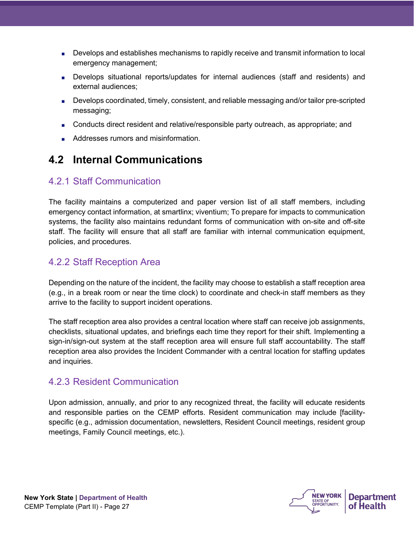- Develops and establishes mechanisms to rapidly receive and transmit information to local emergency management;
- Develops situational reports/updates for internal audiences (staff and residents) and external audiences;
- Develops coordinated, timely, consistent, and reliable messaging and/or tailor pre-scripted messaging;
- **Conducts direct resident and relative/responsible party outreach, as appropriate; and**
- **Addresses rumors and misinformation.**

### <span id="page-26-0"></span>**4.2 Internal Communications**

### <span id="page-26-1"></span>4.2.1 Staff Communication

The facility maintains a computerized and paper version list of all staff members, including emergency contact information, at smartlinx; viventium; To prepare for impacts to communication systems, the facility also maintains redundant forms of communication with on-site and off-site staff. The facility will ensure that all staff are familiar with internal communication equipment, policies, and procedures.

### <span id="page-26-2"></span>4.2.2 Staff Reception Area

Depending on the nature of the incident, the facility may choose to establish a staff reception area (e.g., in a break room or near the time clock) to coordinate and check-in staff members as they arrive to the facility to support incident operations.

The staff reception area also provides a central location where staff can receive job assignments, checklists, situational updates, and briefings each time they report for their shift. Implementing a sign-in/sign-out system at the staff reception area will ensure full staff accountability. The staff reception area also provides the Incident Commander with a central location for staffing updates and inquiries.

#### <span id="page-26-3"></span>4.2.3 Resident Communication

Upon admission, annually, and prior to any recognized threat, the facility will educate residents and responsible parties on the CEMP efforts. Resident communication may include [facilityspecific (e.g., admission documentation, newsletters, Resident Council meetings, resident group meetings, Family Council meetings, etc.).

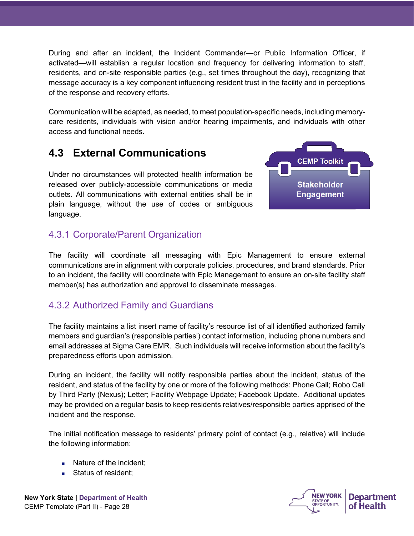During and after an incident, the Incident Commander—or Public Information Officer, if activated—will establish a regular location and frequency for delivering information to staff, residents, and on-site responsible parties (e.g., set times throughout the day), recognizing that message accuracy is a key component influencing resident trust in the facility and in perceptions of the response and recovery efforts.

Communication will be adapted, as needed, to meet population-specific needs, including memorycare residents, individuals with vision and/or hearing impairments, and individuals with other access and functional needs.

### <span id="page-27-0"></span>**4.3 External Communications**

Under no circumstances will protected health information be released over publicly-accessible communications or media outlets. All communications with external entities shall be in plain language, without the use of codes or ambiguous language.

#### <span id="page-27-1"></span>4.3.1 Corporate/Parent Organization

The facility will coordinate all messaging with Epic Management to ensure external communications are in alignment with corporate policies, procedures, and brand standards. Prior to an incident, the facility will coordinate with Epic Management to ensure an on-site facility staff member(s) has authorization and approval to disseminate messages.

#### <span id="page-27-2"></span>4.3.2 Authorized Family and Guardians

The facility maintains a list insert name of facility's resource list of all identified authorized family members and guardian's (responsible parties') contact information, including phone numbers and email addresses at Sigma Care EMR. Such individuals will receive information about the facility's preparedness efforts upon admission.

During an incident, the facility will notify responsible parties about the incident, status of the resident, and status of the facility by one or more of the following methods: Phone Call; Robo Call by Third Party (Nexus); Letter; Facility Webpage Update; Facebook Update. Additional updates may be provided on a regular basis to keep residents relatives/responsible parties apprised of the incident and the response.

The initial notification message to residents' primary point of contact (e.g., relative) will include the following information:

- Nature of the incident:
- Status of resident;

**New York State | Department of Health** CEMP Template (Part II) - Page 28



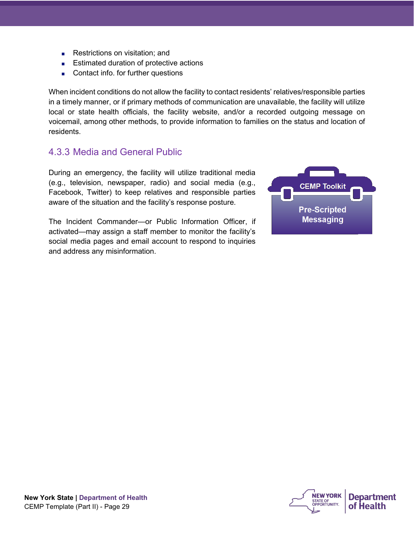- **Restrictions on visitation: and**
- **Estimated duration of protective actions**
- Contact info. for further questions

When incident conditions do not allow the facility to contact residents' relatives/responsible parties in a timely manner, or if primary methods of communication are unavailable, the facility will utilize local or state health officials, the facility website, and/or a recorded outgoing message on voicemail, among other methods, to provide information to families on the status and location of residents.

#### <span id="page-28-0"></span>4.3.3 Media and General Public

During an emergency, the facility will utilize traditional media (e.g., television, newspaper, radio) and social media (e.g., Facebook, Twitter) to keep relatives and responsible parties aware of the situation and the facility's response posture.

The Incident Commander—or Public Information Officer, if activated—may assign a staff member to monitor the facility's social media pages and email account to respond to inquiries and address any misinformation.



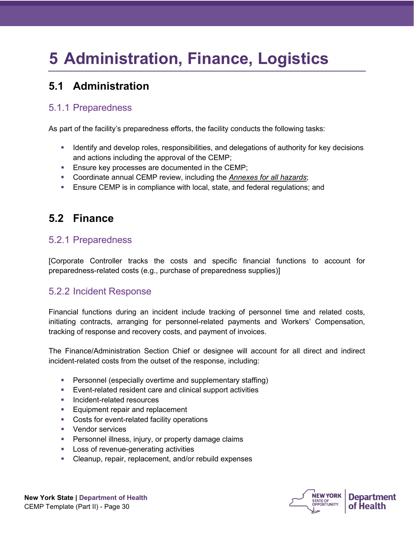## <span id="page-29-0"></span>**5 Administration, Finance, Logistics**

### <span id="page-29-1"></span>**5.1 Administration**

#### <span id="page-29-2"></span>5.1.1 Preparedness

As part of the facility's preparedness efforts, the facility conducts the following tasks:

- **IDENTIFY 1998 1** Identify and develop roles, responsibilities, and delegations of authority for key decisions and actions including the approval of the CEMP;
- **Ensure key processes are documented in the CEMP;**
- Coordinate annual CEMP review, including the *Annexes for all hazards*;
- Ensure CEMP is in compliance with local, state, and federal regulations; and

### <span id="page-29-3"></span>**5.2 Finance**

#### <span id="page-29-4"></span>5.2.1 Preparedness

[Corporate Controller tracks the costs and specific financial functions to account for preparedness-related costs (e.g., purchase of preparedness supplies)]

#### <span id="page-29-5"></span>5.2.2 Incident Response

Financial functions during an incident include tracking of personnel time and related costs, initiating contracts, arranging for personnel-related payments and Workers' Compensation, tracking of response and recovery costs, and payment of invoices.

The Finance/Administration Section Chief or designee will account for all direct and indirect incident-related costs from the outset of the response, including:

- **Personnel (especially overtime and supplementary staffing)**
- Event-related resident care and clinical support activities
- **Incident-related resources**
- **Equipment repair and replacement**
- **Costs for event-related facility operations**
- **Vendor services**
- **Personnel illness, injury, or property damage claims**
- **Loss of revenue-generating activities**
- Cleanup, repair, replacement, and/or rebuild expenses



**New York State | Department of Health** CEMP Template (Part II) - Page 30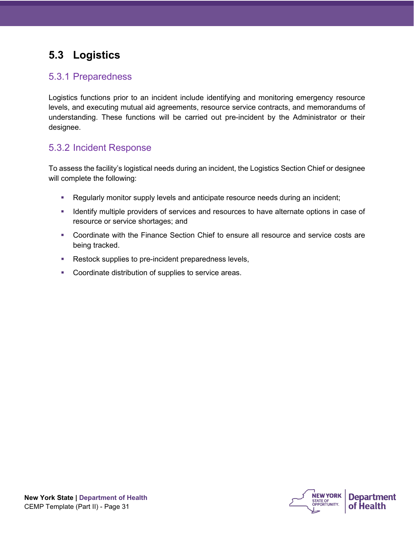### <span id="page-30-0"></span>**5.3 Logistics**

#### <span id="page-30-1"></span>5.3.1 Preparedness

Logistics functions prior to an incident include identifying and monitoring emergency resource levels, and executing mutual aid agreements, resource service contracts, and memorandums of understanding. These functions will be carried out pre-incident by the Administrator or their designee.

#### <span id="page-30-2"></span>5.3.2 Incident Response

To assess the facility's logistical needs during an incident, the Logistics Section Chief or designee will complete the following:

- Regularly monitor supply levels and anticipate resource needs during an incident;
- **If I**dentify multiple providers of services and resources to have alternate options in case of resource or service shortages; and
- Coordinate with the Finance Section Chief to ensure all resource and service costs are being tracked.
- Restock supplies to pre-incident preparedness levels,
- **Coordinate distribution of supplies to service areas.**

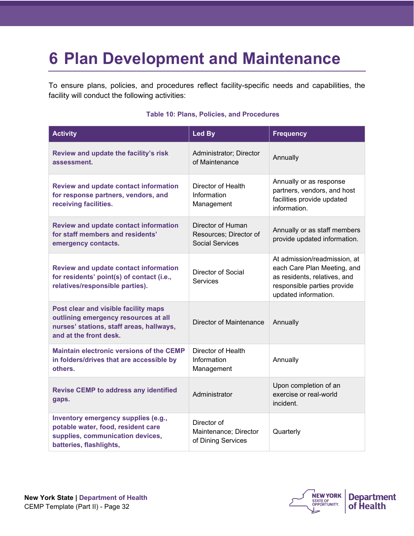## <span id="page-31-0"></span>**6 Plan Development and Maintenance**

To ensure plans, policies, and procedures reflect facility-specific needs and capabilities, the facility will conduct the following activities:

| <b>Activity</b>                                                                                                                                    | <b>Led By</b>                                                         | <b>Frequency</b>                                                                                                                                   |
|----------------------------------------------------------------------------------------------------------------------------------------------------|-----------------------------------------------------------------------|----------------------------------------------------------------------------------------------------------------------------------------------------|
| Review and update the facility's risk<br>assessment.                                                                                               | Administrator; Director<br>of Maintenance                             | Annually                                                                                                                                           |
| <b>Review and update contact information</b><br>for response partners, vendors, and<br>receiving facilities.                                       | Director of Health<br>Information<br>Management                       | Annually or as response<br>partners, vendors, and host<br>facilities provide updated<br>information.                                               |
| <b>Review and update contact information</b><br>for staff members and residents'<br>emergency contacts.                                            | Director of Human<br>Resources; Director of<br><b>Social Services</b> | Annually or as staff members<br>provide updated information.                                                                                       |
| <b>Review and update contact information</b><br>for residents' point(s) of contact (i.e.,<br>relatives/responsible parties).                       | Director of Social<br><b>Services</b>                                 | At admission/readmission, at<br>each Care Plan Meeting, and<br>as residents, relatives, and<br>responsible parties provide<br>updated information. |
| Post clear and visible facility maps<br>outlining emergency resources at all<br>nurses' stations, staff areas, hallways,<br>and at the front desk. | <b>Director of Maintenance</b>                                        | Annually                                                                                                                                           |
| <b>Maintain electronic versions of the CEMP</b><br>in folders/drives that are accessible by<br>others.                                             | Director of Health<br>Information<br>Management                       | Annually                                                                                                                                           |
| <b>Revise CEMP to address any identified</b><br>gaps.                                                                                              | Administrator                                                         | Upon completion of an<br>exercise or real-world<br>incident.                                                                                       |
| Inventory emergency supplies (e.g.,<br>potable water, food, resident care<br>supplies, communication devices,<br>batteries, flashlights,           | Director of<br>Maintenance; Director<br>of Dining Services            | Quarterly                                                                                                                                          |

#### **Table 10: Plans, Policies, and Procedures**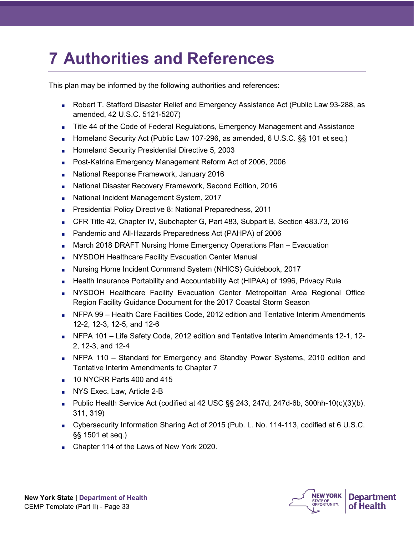## <span id="page-32-0"></span>**7 Authorities and References**

This plan may be informed by the following authorities and references:

- Robert T. Stafford Disaster Relief and Emergency Assistance Act (Public Law 93-288, as amended, 42 U.S.C. 5121-5207)
- Title 44 of the Code of Federal Regulations, Emergency Management and Assistance
- Homeland Security Act (Public Law 107-296, as amended, 6 U.S.C. §§ 101 et seq.)
- **Homeland Security Presidential Directive 5, 2003**
- **Post-Katrina Emergency Management Reform Act of 2006, 2006**
- **National Response Framework, January 2016**
- **National Disaster Recovery Framework, Second Edition, 2016**
- **National Incident Management System, 2017**
- **Presidential Policy Directive 8: National Preparedness, 2011**
- CFR Title 42, Chapter IV, Subchapter G, Part 483, Subpart B, Section 483.73, 2016
- Pandemic and All-Hazards Preparedness Act (PAHPA) of 2006
- **March 2018 DRAFT Nursing Home Emergency Operations Plan Evacuation**
- **NYSDOH Healthcare Facility Evacuation Center Manual**
- **Nursing Home Incident Command System (NHICS) Guidebook, 2017**
- Health Insurance Portability and Accountability Act (HIPAA) of 1996, Privacy Rule
- NYSDOH Healthcare Facility Evacuation Center Metropolitan Area Regional Office Region Facility Guidance Document for the 2017 Coastal Storm Season
- NFPA 99 Health Care Facilities Code, 2012 edition and Tentative Interim Amendments 12-2, 12-3, 12-5, and 12-6
- NFPA 101 Life Safety Code, 2012 edition and Tentative Interim Amendments 12-1, 12- 2, 12-3, and 12-4
- NFPA 110 Standard for Emergency and Standby Power Systems, 2010 edition and Tentative Interim Amendments to Chapter 7
- **10 NYCRR Parts 400 and 415**
- NYS Exec. Law, Article 2-B
- Public Health Service Act (codified at 42 USC §§ 243, 247d, 247d-6b, 300hh-10(c)(3)(b), 311, 319)
- Cybersecurity Information Sharing Act of 2015 (Pub. L. No. 114-113, codified at 6 U.S.C. §§ 1501 et seq.)
- Chapter 114 of the Laws of New York 2020.

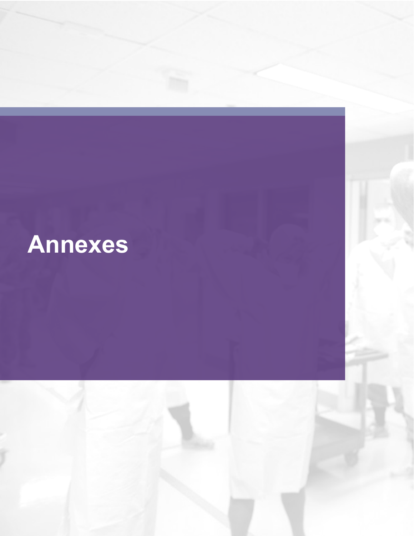# <span id="page-33-0"></span>**Annexes**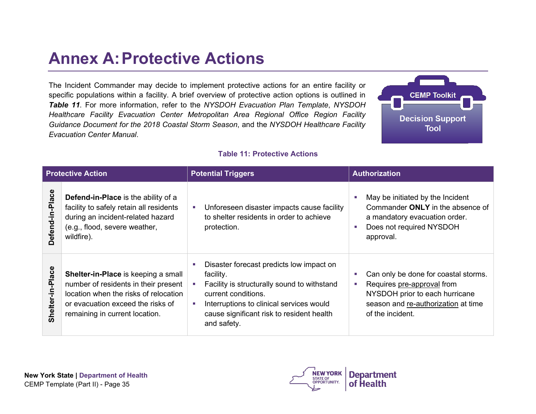## **Annex A:Protective Actions**

The Incident Commander may decide to implement protective actions for an entire facility or specific populations within a facility. A brief overview of protective action options is outlined in *[Table 11](#page-34-1)*. For more information, refer to the *NYSDOH Evacuation Plan Template*, *NYSDOH Healthcare Facility Evacuation Center Metropolitan Area Regional Office Region Facility Guidance Document for the 2018 Coastal Storm Season*, and the *NYSDOH Healthcare Facility Evacuation Center Manual*.



#### **Table 11: Protective Actions**

<span id="page-34-1"></span><span id="page-34-0"></span>

| <b>Protective Action</b> |                                                                                                                                                                                             | <b>Potential Triggers</b>                                                                                                                                                                                                           | <b>Authorization</b>                                                                                                                                            |
|--------------------------|---------------------------------------------------------------------------------------------------------------------------------------------------------------------------------------------|-------------------------------------------------------------------------------------------------------------------------------------------------------------------------------------------------------------------------------------|-----------------------------------------------------------------------------------------------------------------------------------------------------------------|
| Defend-in-Place          | <b>Defend-in-Place</b> is the ability of a<br>facility to safely retain all residents<br>during an incident-related hazard<br>(e.g., flood, severe weather,<br>wildfire).                   | Unforeseen disaster impacts cause facility<br>T.<br>to shelter residents in order to achieve<br>protection.                                                                                                                         | May be initiated by the Incident<br>Commander ONLY in the absence of<br>a mandatory evacuation order.<br>Does not required NYSDOH<br>approval.                  |
| Shelter-in-Place         | Shelter-in-Place is keeping a small<br>number of residents in their present<br>location when the risks of relocation<br>or evacuation exceed the risks of<br>remaining in current location. | Disaster forecast predicts low impact on<br>facility.<br>Facility is structurally sound to withstand<br>current conditions.<br>Interruptions to clinical services would<br>cause significant risk to resident health<br>and safety. | Can only be done for coastal storms.<br>Requires pre-approval from<br>NYSDOH prior to each hurricane<br>season and re-authorization at time<br>of the incident. |

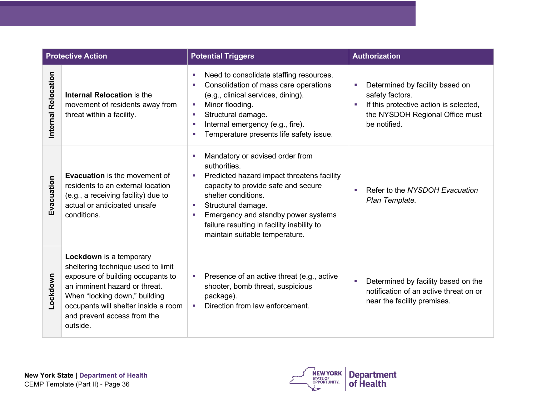|                        | <b>Protective Action</b>                                                                                                                                                                                                                                       | <b>Potential Triggers</b>                                                                                                                                                                                                                                                                                      | <b>Authorization</b>                                                                                                                                                  |
|------------------------|----------------------------------------------------------------------------------------------------------------------------------------------------------------------------------------------------------------------------------------------------------------|----------------------------------------------------------------------------------------------------------------------------------------------------------------------------------------------------------------------------------------------------------------------------------------------------------------|-----------------------------------------------------------------------------------------------------------------------------------------------------------------------|
| Relocation<br>Internal | <b>Internal Relocation is the</b><br>movement of residents away from<br>threat within a facility.                                                                                                                                                              | Need to consolidate staffing resources.<br>×.<br>Consolidation of mass care operations<br>(e.g., clinical services, dining).<br>Minor flooding.<br>m.<br>Structural damage.<br>×.<br>Internal emergency (e.g., fire).<br><b>COL</b><br>Temperature presents life safety issue.<br>п                            | Determined by facility based on<br>E<br>safety factors.<br>If this protective action is selected,<br>$\mathcal{C}$<br>the NYSDOH Regional Office must<br>be notified. |
| Evacuation             | <b>Evacuation</b> is the movement of<br>residents to an external location<br>(e.g., a receiving facility) due to<br>actual or anticipated unsafe<br>conditions.                                                                                                | Mandatory or advised order from<br>authorities.<br>Predicted hazard impact threatens facility<br>capacity to provide safe and secure<br>shelter conditions.<br>Structural damage.<br>×.<br>Emergency and standby power systems<br>failure resulting in facility inability to<br>maintain suitable temperature. | Refer to the NYSDOH Evacuation<br>Plan Template.                                                                                                                      |
| -ockdown               | <b>Lockdown</b> is a temporary<br>sheltering technique used to limit<br>exposure of building occupants to<br>an imminent hazard or threat.<br>When "locking down," building<br>occupants will shelter inside a room<br>and prevent access from the<br>outside. | Presence of an active threat (e.g., active<br>shooter, bomb threat, suspicious<br>package).<br>Direction from law enforcement.<br>$\mathcal{L}_{\mathcal{A}}$                                                                                                                                                  | Determined by facility based on the<br>×,<br>notification of an active threat on or<br>near the facility premises.                                                    |

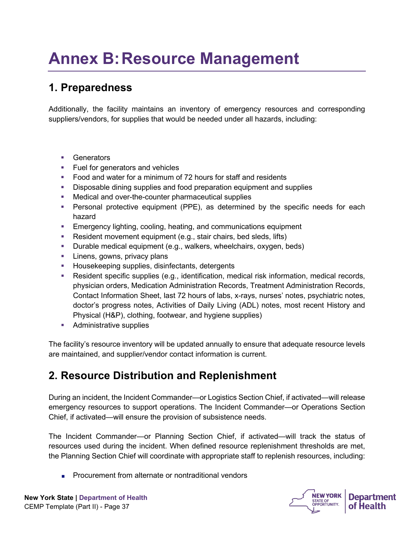## <span id="page-36-0"></span>**Annex B: Resource Management**

### <span id="page-36-1"></span>**1. Preparedness**

Additionally, the facility maintains an inventory of emergency resources and corresponding suppliers/vendors, for supplies that would be needed under all hazards, including:

- **Generators**
- **Fuel for generators and vehicles**
- Food and water for a minimum of 72 hours for staff and residents
- Disposable dining supplies and food preparation equipment and supplies
- Medical and over-the-counter pharmaceutical supplies
- Personal protective equipment (PPE), as determined by the specific needs for each hazard
- **Emergency lighting, cooling, heating, and communications equipment**
- Resident movement equipment (e.g., stair chairs, bed sleds, lifts)
- **Durable medical equipment (e.g., walkers, wheelchairs, oxygen, beds)**
- **Linens, gowns, privacy plans**
- **Housekeeping supplies, disinfectants, detergents**
- Resident specific supplies (e.g., identification, medical risk information, medical records, physician orders, Medication Administration Records, Treatment Administration Records, Contact Information Sheet, last 72 hours of labs, x-rays, nurses' notes, psychiatric notes, doctor's progress notes, Activities of Daily Living (ADL) notes, most recent History and Physical (H&P), clothing, footwear, and hygiene supplies)
- **Administrative supplies**

The facility's resource inventory will be updated annually to ensure that adequate resource levels are maintained, and supplier/vendor contact information is current.

### <span id="page-36-2"></span>**2. Resource Distribution and Replenishment**

During an incident, the Incident Commander—or Logistics Section Chief, if activated—will release emergency resources to support operations. The Incident Commander—or Operations Section Chief, if activated—will ensure the provision of subsistence needs.

The Incident Commander—or Planning Section Chief, if activated—will track the status of resources used during the incident. When defined resource replenishment thresholds are met, the Planning Section Chief will coordinate with appropriate staff to replenish resources, including:

**Procurement from alternate or nontraditional vendors** 

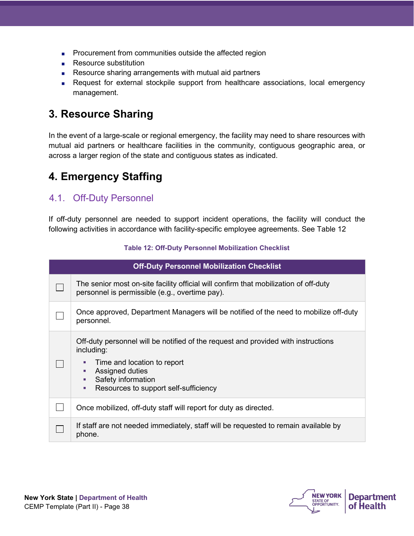- **Procurement from communities outside the affected region**
- **Resource substitution**
- Resource sharing arrangements with mutual aid partners
- **Request for external stockpile support from healthcare associations, local emergency** management.

### <span id="page-37-0"></span>**3. Resource Sharing**

In the event of a large-scale or regional emergency, the facility may need to share resources with mutual aid partners or healthcare facilities in the community, contiguous geographic area, or across a larger region of the state and contiguous states as indicated.

### <span id="page-37-1"></span>**4. Emergency Staffing**

#### 4.1. Off-Duty Personnel

If off-duty personnel are needed to support incident operations, the facility will conduct the following activities in accordance with facility-specific employee agreements. See Table 12

#### **Table 12: Off-Duty Personnel Mobilization Checklist**

| <b>Off-Duty Personnel Mobilization Checklist</b>                                                                                                                                                                      |
|-----------------------------------------------------------------------------------------------------------------------------------------------------------------------------------------------------------------------|
| The senior most on-site facility official will confirm that mobilization of off-duty<br>personnel is permissible (e.g., overtime pay).                                                                                |
| Once approved, Department Managers will be notified of the need to mobilize off-duty<br>personnel.                                                                                                                    |
| Off-duty personnel will be notified of the request and provided with instructions<br>including:<br>Time and location to report<br>Assigned duties<br>Safety information<br>Resources to support self-sufficiency<br>п |
| Once mobilized, off-duty staff will report for duty as directed.                                                                                                                                                      |
| If staff are not needed immediately, staff will be requested to remain available by<br>phone.                                                                                                                         |

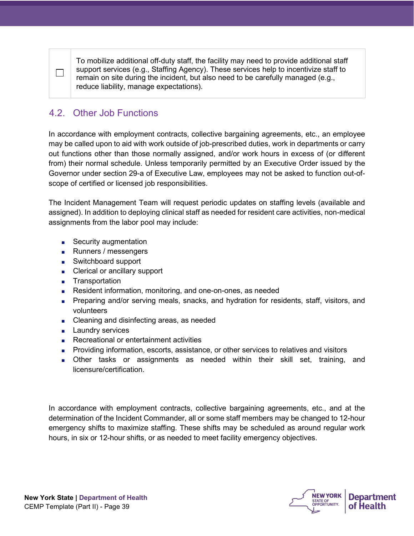To mobilize additional off-duty staff, the facility may need to provide additional staff support services (e.g., Staffing Agency). These services help to incentivize staff to remain on site during the incident, but also need to be carefully managed (e.g., reduce liability, manage expectations).

### 4.2. Other Job Functions

 $\overline{\phantom{a}}$ 

In accordance with employment contracts, collective bargaining agreements, etc., an employee may be called upon to aid with work outside of job-prescribed duties, work in departments or carry out functions other than those normally assigned, and/or work hours in excess of (or different from) their normal schedule. Unless temporarily permitted by an Executive Order issued by the Governor under section 29-a of Executive Law, employees may not be asked to function out-ofscope of certified or licensed job responsibilities.

The Incident Management Team will request periodic updates on staffing levels (available and assigned). In addition to deploying clinical staff as needed for resident care activities, non-medical assignments from the labor pool may include:

- **Security augmentation**
- **Runners / messengers**
- Switchboard support
- Clerical or ancillary support
- **Transportation**
- Resident information, monitoring, and one-on-ones, as needed
- **Preparing and/or serving meals, snacks, and hydration for residents, staff, visitors, and Property** volunteers
- **Cleaning and disinfecting areas, as needed**
- **Laundry services**
- **Recreational or entertainment activities**
- **Providing information, escorts, assistance, or other services to relatives and visitors**
- **Dther tasks or assignments as needed within their skill set, training, and** licensure/certification.

In accordance with employment contracts, collective bargaining agreements, etc., and at the determination of the Incident Commander, all or some staff members may be changed to 12-hour emergency shifts to maximize staffing. These shifts may be scheduled as around regular work hours, in six or 12-hour shifts, or as needed to meet facility emergency objectives.

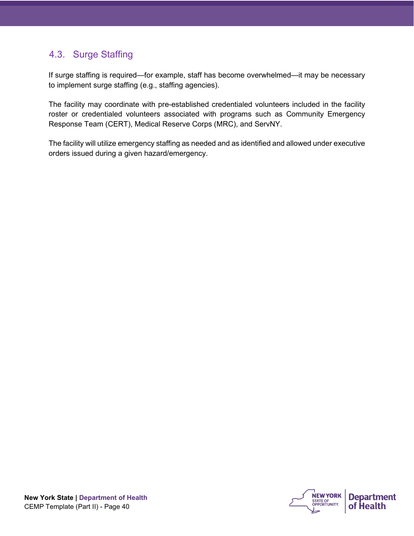#### 4.3. Surge Staffing

If surge staffing is required—for example, staff has become overwhelmed—it may be necessary to implement surge staffing (e.g., staffing agencies).

The facility may coordinate with pre-established credentialed volunteers included in the facility roster or credentialed volunteers associated with programs such as Community Emergency Response Team (CERT), Medical Reserve Corps (MRC), and ServNY.

The facility will utilize emergency staffing as needed and as identified and allowed under executive orders issued during a given hazard/emergency.

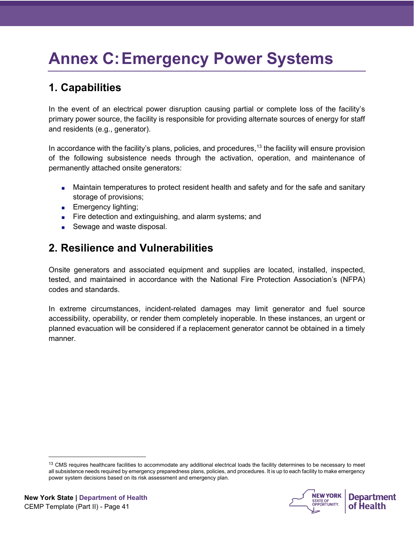## <span id="page-40-0"></span>**Annex C:Emergency Power Systems**

### <span id="page-40-1"></span>**1. Capabilities**

In the event of an electrical power disruption causing partial or complete loss of the facility's primary power source, the facility is responsible for providing alternate sources of energy for staff and residents (e.g., generator).

In accordance with the facility's plans, policies, and procedures, [13](#page-40-3) the facility will ensure provision of the following subsistence needs through the activation, operation, and maintenance of permanently attached onsite generators:

- Maintain temperatures to protect resident health and safety and for the safe and sanitary storage of provisions;
- **Emergency lighting;**
- **Fire detection and extinguishing, and alarm systems; and**
- Sewage and waste disposal.

### <span id="page-40-2"></span>**2. Resilience and Vulnerabilities**

Onsite generators and associated equipment and supplies are located, installed, inspected, tested, and maintained in accordance with the National Fire Protection Association's (NFPA) codes and standards.

In extreme circumstances, incident-related damages may limit generator and fuel source accessibility, operability, or render them completely inoperable. In these instances, an urgent or planned evacuation will be considered if a replacement generator cannot be obtained in a timely manner.

<span id="page-40-3"></span> $13$  CMS requires healthcare facilities to accommodate any additional electrical loads the facility determines to be necessary to meet all subsistence needs required by emergency preparedness plans, policies, and procedures. It is up to each facility to make emergency power system decisions based on its risk assessment and emergency plan.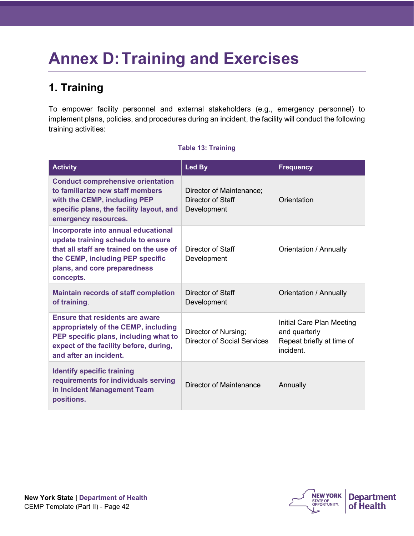## <span id="page-41-0"></span>**Annex D:Training and Exercises**

### <span id="page-41-1"></span>**1. Training**

To empower facility personnel and external stakeholders (e.g., emergency personnel) to implement plans, policies, and procedures during an incident, the facility will conduct the following training activities:

#### **Table 13: Training**

| <b>Activity</b>                                                                                                                                                                                        | <b>Led By</b>                                                | <b>Frequency</b>                                                                     |
|--------------------------------------------------------------------------------------------------------------------------------------------------------------------------------------------------------|--------------------------------------------------------------|--------------------------------------------------------------------------------------|
| <b>Conduct comprehensive orientation</b><br>to familiarize new staff members<br>with the CEMP, including PEP<br>specific plans, the facility layout, and<br>emergency resources.                       | Director of Maintenance;<br>Director of Staff<br>Development | Orientation                                                                          |
| Incorporate into annual educational<br>update training schedule to ensure<br>that all staff are trained on the use of<br>the CEMP, including PEP specific<br>plans, and core preparedness<br>concepts. | Director of Staff<br>Development                             | Orientation / Annually                                                               |
| <b>Maintain records of staff completion</b><br>of training.                                                                                                                                            | Director of Staff<br>Development                             | <b>Orientation / Annually</b>                                                        |
| <b>Ensure that residents are aware</b><br>appropriately of the CEMP, including<br>PEP specific plans, including what to<br>expect of the facility before, during,<br>and after an incident.            | Director of Nursing;<br>Director of Social Services          | Initial Care Plan Meeting<br>and quarterly<br>Repeat briefly at time of<br>incident. |
| <b>Identify specific training</b><br>requirements for individuals serving<br>in Incident Management Team<br>positions.                                                                                 | Director of Maintenance                                      | Annually                                                                             |

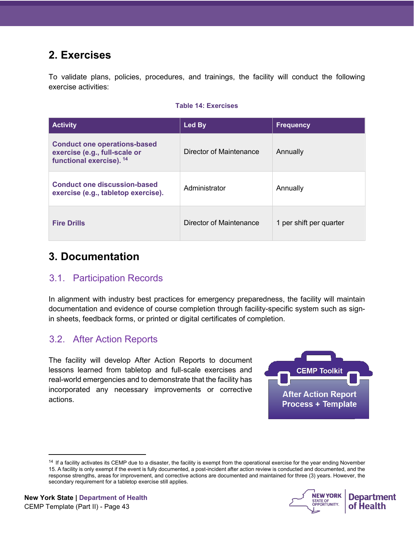### <span id="page-42-0"></span>**2. Exercises**

To validate plans, policies, procedures, and trainings, the facility will conduct the following exercise activities:

#### **Table 14: Exercises**

| <b>Activity</b>                                                                                  | Led By                  | <b>Frequency</b>        |
|--------------------------------------------------------------------------------------------------|-------------------------|-------------------------|
| <b>Conduct one operations-based</b><br>exercise (e.g., full-scale or<br>functional exercise). 14 | Director of Maintenance | Annually                |
| <b>Conduct one discussion-based</b><br>exercise (e.g., tabletop exercise).                       | Administrator           | Annually                |
| <b>Fire Drills</b>                                                                               | Director of Maintenance | 1 per shift per quarter |

### <span id="page-42-1"></span>**3. Documentation**

#### <span id="page-42-2"></span>3.1. Participation Records

In alignment with industry best practices for emergency preparedness, the facility will maintain documentation and evidence of course completion through facility-specific system such as signin sheets, feedback forms, or printed or digital certificates of completion.

#### <span id="page-42-3"></span>3.2. After Action Reports

The facility will develop After Action Reports to document lessons learned from tabletop and full-scale exercises and real-world emergencies and to demonstrate that the facility has incorporated any necessary improvements or corrective actions.





<span id="page-42-4"></span><sup>&</sup>lt;sup>14</sup> If a facility activates its CEMP due to a disaster, the facility is exempt from the operational exercise for the year ending November 15. A facility is only exempt if the event is fully documented, a post-incident after action review is conducted and documented, and the response strengths, areas for improvement, and corrective actions are documented and maintained for three (3) years. However, the secondary requirement for a tabletop exercise still applies.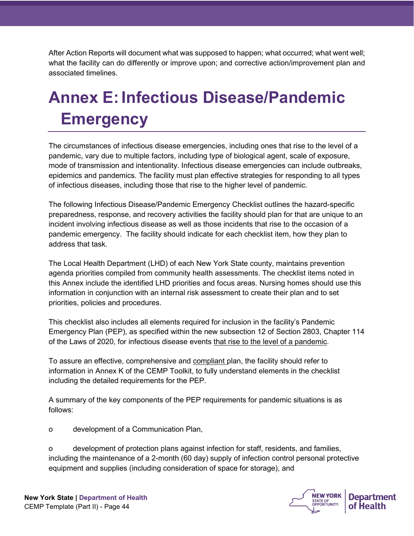After Action Reports will document what was supposed to happen; what occurred; what went well; what the facility can do differently or improve upon; and corrective action/improvement plan and associated timelines.

## <span id="page-43-0"></span>**Annex E: Infectious Disease/Pandemic Emergency**

The circumstances of infectious disease emergencies, including ones that rise to the level of a pandemic, vary due to multiple factors, including type of biological agent, scale of exposure, mode of transmission and intentionality. Infectious disease emergencies can include outbreaks, epidemics and pandemics. The facility must plan effective strategies for responding to all types of infectious diseases, including those that rise to the higher level of pandemic.

The following Infectious Disease/Pandemic Emergency Checklist outlines the hazard-specific preparedness, response, and recovery activities the facility should plan for that are unique to an incident involving infectious disease as well as those incidents that rise to the occasion of a pandemic emergency. The facility should indicate for each checklist item, how they plan to address that task.

The Local Health Department (LHD) of each New York State county, maintains prevention agenda priorities compiled from community health assessments. The checklist items noted in this Annex include the identified LHD priorities and focus areas. Nursing homes should use this information in conjunction with an internal risk assessment to create their plan and to set priorities, policies and procedures.

This checklist also includes all elements required for inclusion in the facility's Pandemic Emergency Plan (PEP), as specified within the new subsection 12 of Section 2803, Chapter 114 of the Laws of 2020, for infectious disease events that rise to the level of a pandemic.

To assure an effective, comprehensive and compliant plan, the facility should refer to information in Annex K of the CEMP Toolkit, to fully understand elements in the checklist including the detailed requirements for the PEP.

A summary of the key components of the PEP requirements for pandemic situations is as follows:

o development of a Communication Plan,

o development of protection plans against infection for staff, residents, and families, including the maintenance of a 2-month (60 day) supply of infection control personal protective equipment and supplies (including consideration of space for storage), and

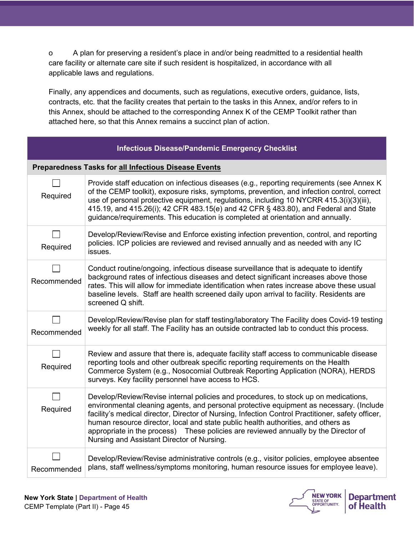o A plan for preserving a resident's place in and/or being readmitted to a residential health care facility or alternate care site if such resident is hospitalized, in accordance with all applicable laws and regulations.

Finally, any appendices and documents, such as regulations, executive orders, guidance, lists, contracts, etc. that the facility creates that pertain to the tasks in this Annex, and/or refers to in this Annex, should be attached to the corresponding Annex K of the CEMP Toolkit rather than attached here, so that this Annex remains a succinct plan of action.

| <b>Infectious Disease/Pandemic Emergency Checklist</b> |                                                                                                                                                                                                                                                                                                                                                                                                                                                                                                               |  |
|--------------------------------------------------------|---------------------------------------------------------------------------------------------------------------------------------------------------------------------------------------------------------------------------------------------------------------------------------------------------------------------------------------------------------------------------------------------------------------------------------------------------------------------------------------------------------------|--|
|                                                        | <b>Preparedness Tasks for all Infectious Disease Events</b>                                                                                                                                                                                                                                                                                                                                                                                                                                                   |  |
| Required                                               | Provide staff education on infectious diseases (e.g., reporting requirements (see Annex K)<br>of the CEMP toolkit), exposure risks, symptoms, prevention, and infection control, correct<br>use of personal protective equipment, regulations, including 10 NYCRR 415.3(i)(3)(iii),<br>415.19, and 415.26(i); 42 CFR 483.15(e) and 42 CFR § 483.80), and Federal and State<br>guidance/requirements. This education is completed at orientation and annually.                                                 |  |
| Required                                               | Develop/Review/Revise and Enforce existing infection prevention, control, and reporting<br>policies. ICP policies are reviewed and revised annually and as needed with any IC<br>issues.                                                                                                                                                                                                                                                                                                                      |  |
| Recommended                                            | Conduct routine/ongoing, infectious disease surveillance that is adequate to identify<br>background rates of infectious diseases and detect significant increases above those<br>rates. This will allow for immediate identification when rates increase above these usual<br>baseline levels. Staff are health screened daily upon arrival to facility. Residents are<br>screened Q shift.                                                                                                                   |  |
| Recommended                                            | Develop/Review/Revise plan for staff testing/laboratory The Facility does Covid-19 testing<br>weekly for all staff. The Facility has an outside contracted lab to conduct this process.                                                                                                                                                                                                                                                                                                                       |  |
| Required                                               | Review and assure that there is, adequate facility staff access to communicable disease<br>reporting tools and other outbreak specific reporting requirements on the Health<br>Commerce System (e.g., Nosocomial Outbreak Reporting Application (NORA), HERDS<br>surveys. Key facility personnel have access to HCS.                                                                                                                                                                                          |  |
| Required                                               | Develop/Review/Revise internal policies and procedures, to stock up on medications,<br>environmental cleaning agents, and personal protective equipment as necessary. (Include<br>facility's medical director, Director of Nursing, Infection Control Practitioner, safety officer,<br>human resource director, local and state public health authorities, and others as<br>appropriate in the process) These policies are reviewed annually by the Director of<br>Nursing and Assistant Director of Nursing. |  |
| Recommended                                            | Develop/Review/Revise administrative controls (e.g., visitor policies, employee absentee<br>plans, staff wellness/symptoms monitoring, human resource issues for employee leave).                                                                                                                                                                                                                                                                                                                             |  |

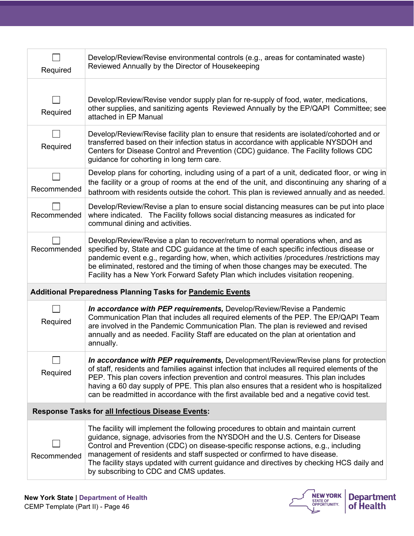| Required                                                 | Develop/Review/Revise environmental controls (e.g., areas for contaminated waste)<br>Reviewed Annually by the Director of Housekeeping                                                                                                                                                                                                                                                                                                                                          |
|----------------------------------------------------------|---------------------------------------------------------------------------------------------------------------------------------------------------------------------------------------------------------------------------------------------------------------------------------------------------------------------------------------------------------------------------------------------------------------------------------------------------------------------------------|
| Required                                                 | Develop/Review/Revise vendor supply plan for re-supply of food, water, medications,<br>other supplies, and sanitizing agents Reviewed Annually by the EP/QAPI Committee; see<br>attached in EP Manual                                                                                                                                                                                                                                                                           |
| Required                                                 | Develop/Review/Revise facility plan to ensure that residents are isolated/cohorted and or<br>transferred based on their infection status in accordance with applicable NYSDOH and<br>Centers for Disease Control and Prevention (CDC) guidance. The Facility follows CDC<br>guidance for cohorting in long term care.                                                                                                                                                           |
| Recommended                                              | Develop plans for cohorting, including using of a part of a unit, dedicated floor, or wing in<br>the facility or a group of rooms at the end of the unit, and discontinuing any sharing of a<br>bathroom with residents outside the cohort. This plan is reviewed annually and as needed.                                                                                                                                                                                       |
| Recommended                                              | Develop/Review/Revise a plan to ensure social distancing measures can be put into place<br>where indicated. The Facility follows social distancing measures as indicated for<br>communal dining and activities.                                                                                                                                                                                                                                                                 |
| Recommended                                              | Develop/Review/Revise a plan to recover/return to normal operations when, and as<br>specified by, State and CDC guidance at the time of each specific infectious disease or<br>pandemic event e.g., regarding how, when, which activities /procedures /restrictions may<br>be eliminated, restored and the timing of when those changes may be executed. The<br>Facility has a New York Forward Safety Plan which includes visitation reopening.                                |
|                                                          | <b>Additional Preparedness Planning Tasks for Pandemic Events</b>                                                                                                                                                                                                                                                                                                                                                                                                               |
| Required                                                 | In accordance with PEP requirements, Develop/Review/Revise a Pandemic<br>Communication Plan that includes all required elements of the PEP. The EP/QAPI Team<br>are involved in the Pandemic Communication Plan. The plan is reviewed and revised<br>annually and as needed. Facility Staff are educated on the plan at orientation and<br>annually.                                                                                                                            |
| Required                                                 | In accordance with PEP requirements, Development/Review/Revise plans for protection<br>of staff, residents and families against infection that includes all required elements of the<br>PEP. This plan covers infection prevention and control measures. This plan includes<br>having a 60 day supply of PPE. This plan also ensures that a resident who is hospitalized<br>can be readmitted in accordance with the first available bed and a negative covid test.             |
| <b>Response Tasks for all Infectious Disease Events:</b> |                                                                                                                                                                                                                                                                                                                                                                                                                                                                                 |
| Recommended                                              | The facility will implement the following procedures to obtain and maintain current<br>guidance, signage, advisories from the NYSDOH and the U.S. Centers for Disease<br>Control and Prevention (CDC) on disease-specific response actions, e.g., including<br>management of residents and staff suspected or confirmed to have disease.<br>The facility stays updated with current guidance and directives by checking HCS daily and<br>by subscribing to CDC and CMS updates. |

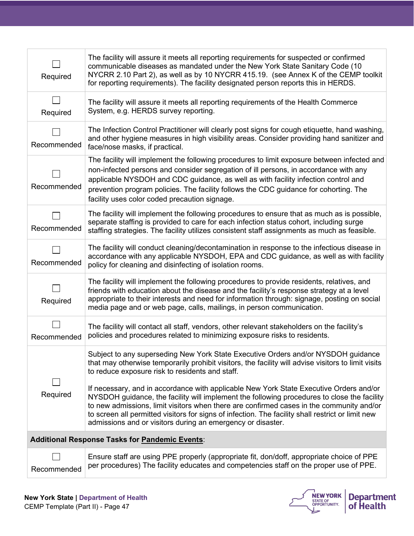| Required    | The facility will assure it meets all reporting requirements for suspected or confirmed<br>communicable diseases as mandated under the New York State Sanitary Code (10<br>NYCRR 2.10 Part 2), as well as by 10 NYCRR 415.19. (see Annex K of the CEMP toolkit<br>for reporting requirements). The facility designated person reports this in HERDS.                                                                                                  |
|-------------|-------------------------------------------------------------------------------------------------------------------------------------------------------------------------------------------------------------------------------------------------------------------------------------------------------------------------------------------------------------------------------------------------------------------------------------------------------|
| Required    | The facility will assure it meets all reporting requirements of the Health Commerce<br>System, e.g. HERDS survey reporting.                                                                                                                                                                                                                                                                                                                           |
| Recommended | The Infection Control Practitioner will clearly post signs for cough etiquette, hand washing,<br>and other hygiene measures in high visibility areas. Consider providing hand sanitizer and<br>face/nose masks, if practical.                                                                                                                                                                                                                         |
| Recommended | The facility will implement the following procedures to limit exposure between infected and<br>non-infected persons and consider segregation of ill persons, in accordance with any<br>applicable NYSDOH and CDC guidance, as well as with facility infection control and<br>prevention program policies. The facility follows the CDC guidance for cohorting. The<br>facility uses color coded precaution signage.                                   |
| Recommended | The facility will implement the following procedures to ensure that as much as is possible,<br>separate staffing is provided to care for each infection status cohort, including surge<br>staffing strategies. The facility utilizes consistent staff assignments as much as feasible.                                                                                                                                                                |
| Recommended | The facility will conduct cleaning/decontamination in response to the infectious disease in<br>accordance with any applicable NYSDOH, EPA and CDC guidance, as well as with facility<br>policy for cleaning and disinfecting of isolation rooms.                                                                                                                                                                                                      |
| Required    | The facility will implement the following procedures to provide residents, relatives, and<br>friends with education about the disease and the facility's response strategy at a level<br>appropriate to their interests and need for information through: signage, posting on social<br>media page and or web page, calls, mailings, in person communication.                                                                                         |
| Recommended | The facility will contact all staff, vendors, other relevant stakeholders on the facility's<br>policies and procedures related to minimizing exposure risks to residents.                                                                                                                                                                                                                                                                             |
|             | Subject to any superseding New York State Executive Orders and/or NYSDOH guidance<br>that may otherwise temporarily prohibit visitors, the facility will advise visitors to limit visits<br>to reduce exposure risk to residents and staff.                                                                                                                                                                                                           |
| Required    | If necessary, and in accordance with applicable New York State Executive Orders and/or<br>NYSDOH guidance, the facility will implement the following procedures to close the facility<br>to new admissions, limit visitors when there are confirmed cases in the community and/or<br>to screen all permitted visitors for signs of infection. The facility shall restrict or limit new<br>admissions and or visitors during an emergency or disaster. |
|             | <b>Additional Response Tasks for Pandemic Events:</b>                                                                                                                                                                                                                                                                                                                                                                                                 |
| Recommended | Ensure staff are using PPE properly (appropriate fit, don/doff, appropriate choice of PPE<br>per procedures) The facility educates and competencies staff on the proper use of PPE.                                                                                                                                                                                                                                                                   |

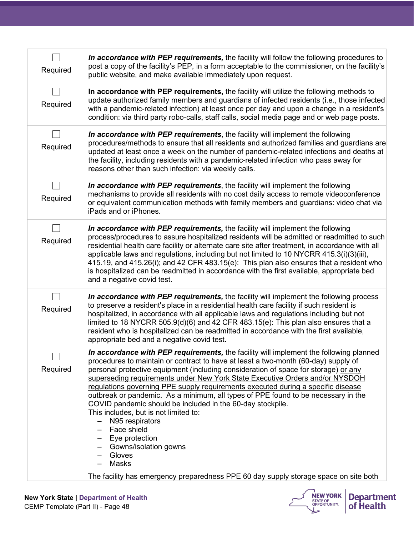| Required                   | In accordance with PEP requirements, the facility will follow the following procedures to<br>post a copy of the facility's PEP, in a form acceptable to the commissioner, on the facility's<br>public website, and make available immediately upon request.                                                                                                                                                                                                                                                                                                                                                                                                                                                                                                                                                                 |
|----------------------------|-----------------------------------------------------------------------------------------------------------------------------------------------------------------------------------------------------------------------------------------------------------------------------------------------------------------------------------------------------------------------------------------------------------------------------------------------------------------------------------------------------------------------------------------------------------------------------------------------------------------------------------------------------------------------------------------------------------------------------------------------------------------------------------------------------------------------------|
| Required                   | In accordance with PEP requirements, the facility will utilize the following methods to<br>update authorized family members and guardians of infected residents (i.e., those infected<br>with a pandemic-related infection) at least once per day and upon a change in a resident's<br>condition: via third party robo-calls, staff calls, social media page and or web page posts.                                                                                                                                                                                                                                                                                                                                                                                                                                         |
| $\blacksquare$<br>Required | In accordance with PEP requirements, the facility will implement the following<br>procedures/methods to ensure that all residents and authorized families and guardians are<br>updated at least once a week on the number of pandemic-related infections and deaths at<br>the facility, including residents with a pandemic-related infection who pass away for<br>reasons other than such infection: via weekly calls.                                                                                                                                                                                                                                                                                                                                                                                                     |
| Required                   | In accordance with PEP requirements, the facility will implement the following<br>mechanisms to provide all residents with no cost daily access to remote videoconference<br>or equivalent communication methods with family members and guardians: video chat via<br>iPads and or iPhones.                                                                                                                                                                                                                                                                                                                                                                                                                                                                                                                                 |
| Required                   | In accordance with PEP requirements, the facility will implement the following<br>process/procedures to assure hospitalized residents will be admitted or readmitted to such<br>residential health care facility or alternate care site after treatment, in accordance with all<br>applicable laws and regulations, including but not limited to 10 NYCRR 415.3(i)(3)(iii),<br>415.19, and 415.26(i); and 42 CFR 483.15(e): This plan also ensures that a resident who<br>is hospitalized can be readmitted in accordance with the first available, appropriate bed<br>and a negative covid test.                                                                                                                                                                                                                           |
| Required                   | In accordance with PEP requirements, the facility will implement the following process<br>to preserve a resident's place in a residential health care facility if such resident is<br>hospitalized, in accordance with all applicable laws and regulations including but not<br>limited to 18 NYCRR 505.9(d)(6) and 42 CFR 483.15(e): This plan also ensures that a<br>resident who is hospitalized can be readmitted in accordance with the first available,<br>appropriate bed and a negative covid test.                                                                                                                                                                                                                                                                                                                 |
| Required                   | In accordance with PEP requirements, the facility will implement the following planned<br>procedures to maintain or contract to have at least a two-month (60-day) supply of<br>personal protective equipment (including consideration of space for storage) or any<br>superseding requirements under New York State Executive Orders and/or NYSDOH<br>regulations governing PPE supply requirements executed during a specific disease<br>outbreak or pandemic. As a minimum, all types of PPE found to be necessary in the<br>COVID pandemic should be included in the 60-day stockpile.<br>This includes, but is not limited to:<br>N95 respirators<br>Face shield<br>Eye protection<br>Gowns/isolation gowns<br>Gloves<br>Masks<br>The facility has emergency preparedness PPE 60 day supply storage space on site both |